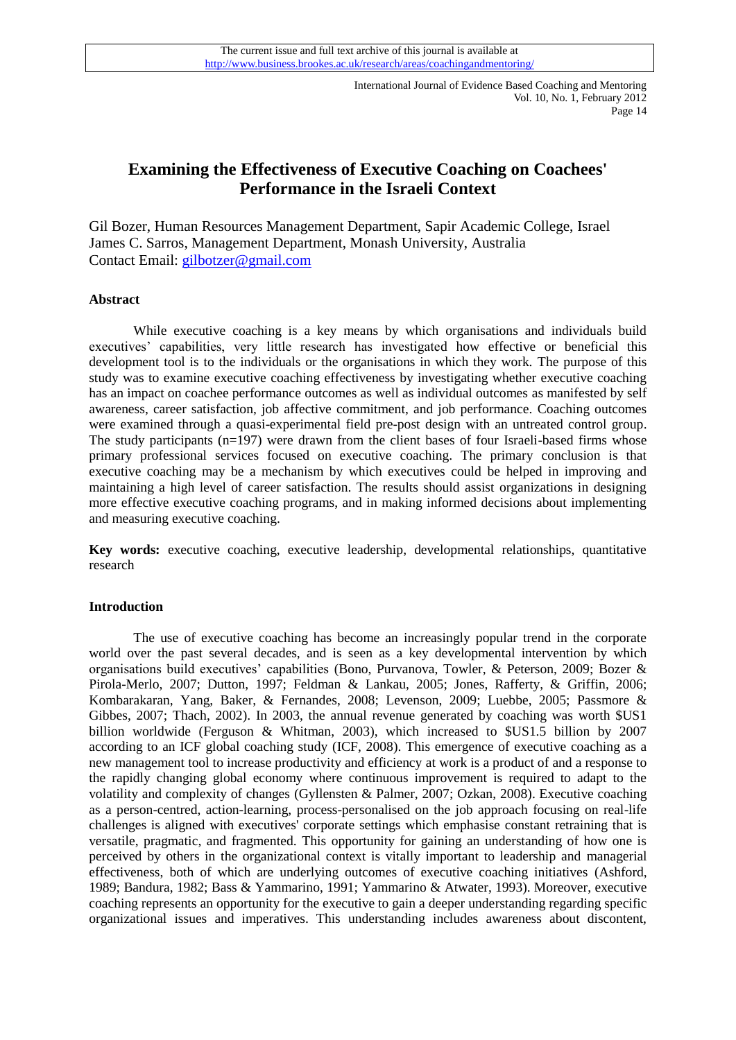# **Examining the Effectiveness of Executive Coaching on Coachees' Performance in the Israeli Context**

Gil Bozer, Human Resources Management Department, Sapir Academic College, Israel James C. Sarros, Management Department, Monash University, Australia Contact Email: [gilbotzer@gmail.com](mailto:gilbotzer@gmail.com)

# **Abstract**

While executive coaching is a key means by which organisations and individuals build executives' capabilities, very little research has investigated how effective or beneficial this development tool is to the individuals or the organisations in which they work. The purpose of this study was to examine executive coaching effectiveness by investigating whether executive coaching has an impact on coachee performance outcomes as well as individual outcomes as manifested by self awareness, career satisfaction, job affective commitment, and job performance. Coaching outcomes were examined through a quasi-experimental field pre-post design with an untreated control group. The study participants (n=197) were drawn from the client bases of four Israeli-based firms whose primary professional services focused on executive coaching. The primary conclusion is that executive coaching may be a mechanism by which executives could be helped in improving and maintaining a high level of career satisfaction. The results should assist organizations in designing more effective executive coaching programs, and in making informed decisions about implementing and measuring executive coaching.

**Key words:** executive coaching, executive leadership, developmental relationships, quantitative research

#### **Introduction**

The use of executive coaching has become an increasingly popular trend in the corporate world over the past several decades, and is seen as a key developmental intervention by which organisations build executives' capabilities [\(Bono, Purvanova, Towler, & Peterson, 2009;](#page-15-0) [Bozer &](#page-15-1)  [Pirola-Merlo, 2007;](#page-15-1) [Dutton, 1997;](#page-15-2) [Feldman & Lankau, 2005;](#page-15-3) [Jones, Rafferty, & Griffin, 2006;](#page-16-0) [Kombarakaran, Yang, Baker, & Fernandes, 2008;](#page-17-0) [Levenson, 2009;](#page-17-1) [Luebbe, 2005;](#page-17-2) [Passmore &](#page-17-3)  [Gibbes, 2007;](#page-17-3) [Thach, 2002\)](#page-18-0). In 2003, the annual revenue generated by coaching was worth \$US1 billion worldwide [\(Ferguson & Whitman, 2003\)](#page-15-4), which increased to \$US1.5 billion by 2007 according to an ICF global coaching study [\(ICF, 2008\)](#page-16-1). This emergence of executive coaching as a new management tool to increase productivity and efficiency at work is a product of and a response to the rapidly changing global economy where continuous improvement is required to adapt to the volatility and complexity of changes [\(Gyllensten & Palmer, 2007;](#page-16-2) [Ozkan, 2008\)](#page-17-4). Executive coaching as a person-centred, action-learning, process-personalised on the job approach focusing on real-life challenges is aligned with executives' corporate settings which emphasise constant retraining that is versatile, pragmatic, and fragmented. This opportunity for gaining an understanding of how one is perceived by others in the organizational context is vitally important to leadership and managerial effectiveness, both of which are underlying outcomes of executive coaching initiatives [\(Ashford,](#page-15-5)  [1989;](#page-15-5) [Bandura, 1982;](#page-15-6) [Bass & Yammarino, 1991;](#page-15-7) [Yammarino & Atwater, 1993\)](#page-18-1). Moreover, executive coaching represents an opportunity for the executive to gain a deeper understanding regarding specific organizational issues and imperatives. This understanding includes awareness about discontent,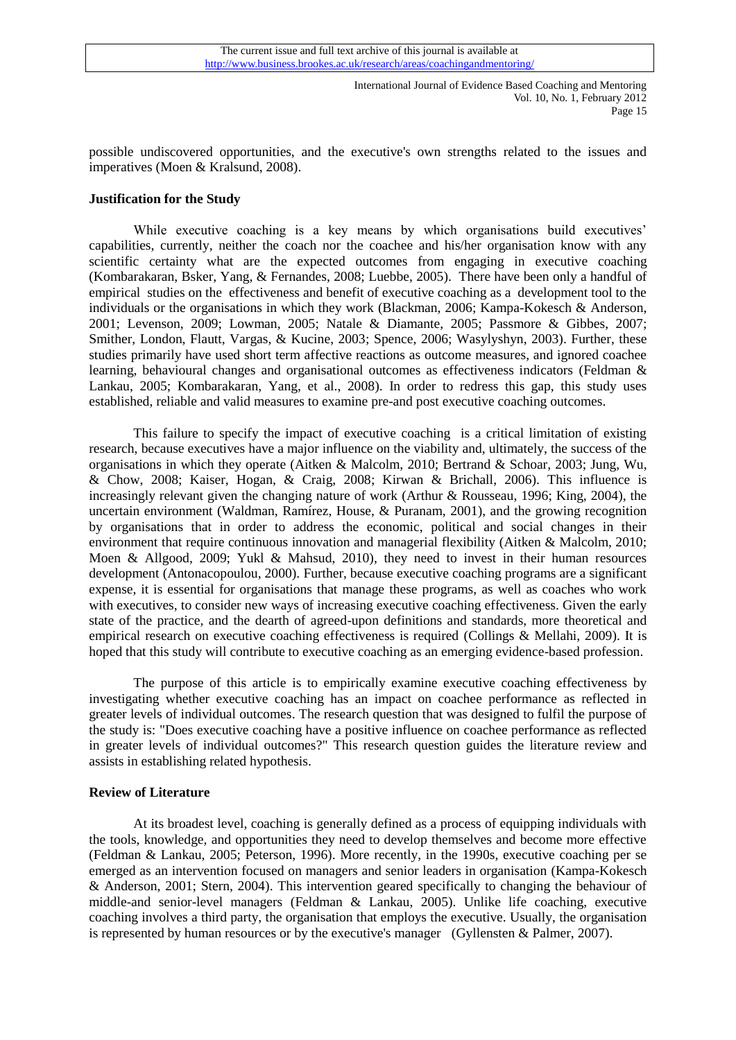possible undiscovered opportunities, and the executive's own strengths related to the issues and imperatives [\(Moen & Kralsund, 2008\)](#page-17-5).

## **Justification for the Study**

While executive coaching is a key means by which organisations build executives' capabilities, currently, neither the coach nor the coachee and his/her organisation know with any scientific certainty what are the expected outcomes from engaging in executive coaching [\(Kombarakaran, Bsker, Yang, & Fernandes, 2008;](#page-17-6) [Luebbe, 2005\)](#page-17-2). There have been only a handful of empirical studies on the effectiveness and benefit of executive coaching as a development tool to the individuals or the organisations in which they work [\(Blackman, 2006;](#page-15-8) [Kampa-Kokesch & Anderson,](#page-16-3)  [2001;](#page-16-3) [Levenson,](#page-17-1) 2009; [Lowman, 2005;](#page-17-7) [Natale & Diamante, 2005;](#page-17-8) [Passmore & Gibbes, 2007;](#page-17-3) [Smither, London, Flautt, Vargas, & Kucine, 2003;](#page-18-2) [Spence, 2006;](#page-18-3) [Wasylyshyn, 2003\)](#page-18-4). Further, these studies primarily have used short term affective reactions as outcome measures, and ignored coachee learning, behavioural changes and organisational outcomes as effectiveness indicators [\(Feldman &](#page-15-3)  [Lankau, 2005;](#page-15-3) [Kombarakaran, Yang, et al., 2008\)](#page-17-0). In order to redress this gap, this study uses established, reliable and valid measures to examine pre-and post executive coaching outcomes.

This failure to specify the impact of executive coaching is a critical limitation of existing research, because executives have a major influence on the viability and, ultimately, the success of the organisations in which they operate [\(Aitken & Malcolm, 2010;](#page-14-0) [Bertrand & Schoar, 2003;](#page-15-9) [Jung, Wu,](#page-16-4)  [& Chow, 2008;](#page-16-4) [Kaiser, Hogan, & Craig, 2008;](#page-16-5) [Kirwan & Brichall, 2006\)](#page-17-9). This influence is increasingly relevant given the changing nature of work [\(Arthur & Rousseau, 1996;](#page-14-1) [King, 2004\)](#page-17-10), the uncertain environment [\(Waldman, Ramírez, House, & Puranam, 2001\)](#page-18-5), and the growing recognition by organisations that in order to address the economic, political and social changes in their environment that require continuous innovation and managerial flexibility [\(Aitken & Malcolm, 2010;](#page-14-0) [Moen & Allgood, 2009;](#page-17-11) [Yukl & Mahsud, 2010\)](#page-14-2), they need to invest in their human resources development [\(Antonacopoulou, 2000\)](#page-14-3). Further, because executive coaching programs are a significant expense, it is essential for organisations that manage these programs, as well as coaches who work with executives, to consider new ways of increasing executive coaching effectiveness. Given the early state of the practice, and the dearth of agreed-upon definitions and standards, more theoretical and empirical research on executive coaching effectiveness is required [\(Collings & Mellahi, 2009\)](#page-15-10). It is hoped that this study will contribute to executive coaching as an emerging evidence-based profession.

The purpose of this article is to empirically examine executive coaching effectiveness by investigating whether executive coaching has an impact on coachee performance as reflected in greater levels of individual outcomes. The research question that was designed to fulfil the purpose of the study is: "Does executive coaching have a positive influence on coachee performance as reflected in greater levels of individual outcomes?" This research question guides the literature review and assists in establishing related hypothesis.

# **Review of Literature**

At its broadest level, coaching is generally defined as a process of equipping individuals with the tools, knowledge, and opportunities they need to develop themselves and become more effective [\(Feldman & Lankau, 2005;](#page-15-3) [Peterson, 1996\)](#page-17-12). More recently, in the 1990s, executive coaching per se emerged as an intervention focused on managers and senior leaders in organisation [\(Kampa-Kokesch](#page-16-3)  [& Anderson, 2001;](#page-16-3) [Stern, 2004\)](#page-18-6). This intervention geared specifically to changing the behaviour of middle-and senior-level managers [\(Feldman & Lankau, 2005\)](#page-15-3). Unlike life coaching, executive coaching involves a third party, the organisation that employs the executive. Usually, the organisation is represented by human resources or by the executive's manager [\(Gyllensten & Palmer, 2007\)](#page-16-2).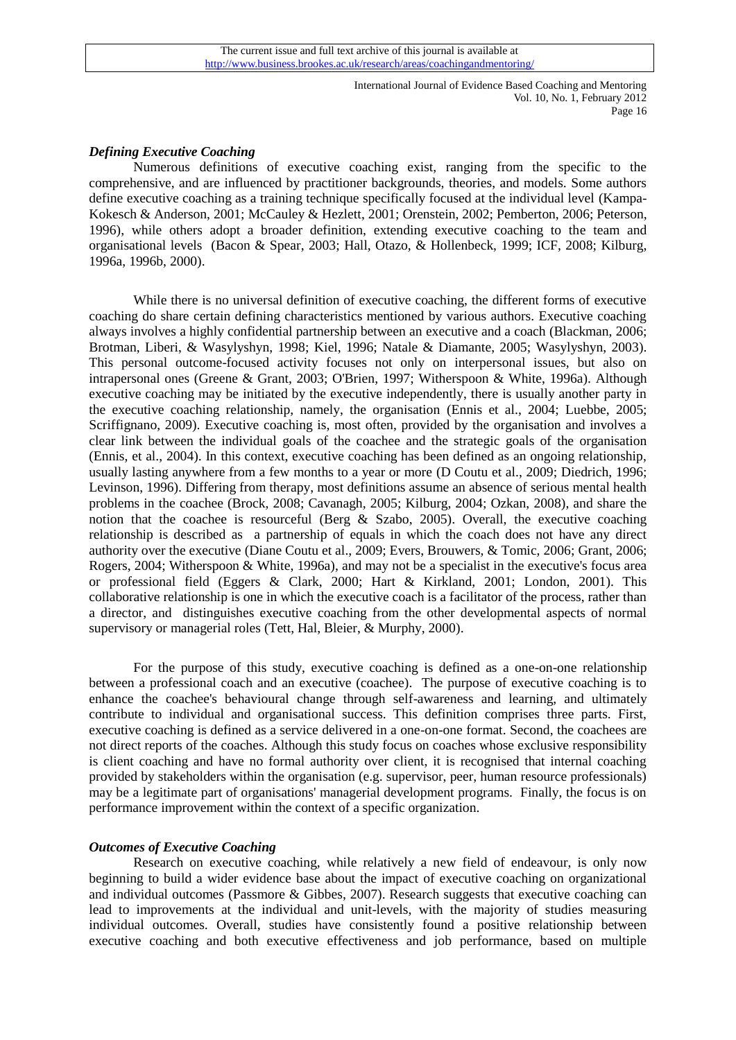# *Defining Executive Coaching*

Numerous definitions of executive coaching exist, ranging from the specific to the comprehensive, and are influenced by practitioner backgrounds, theories, and models. Some authors define executive coaching as a training technique specifically focused at the individual level [\(Kampa-](#page-16-3)[Kokesch & Anderson, 2001;](#page-16-3) [McCauley & Hezlett, 2001;](#page-17-13) [Orenstein, 2002;](#page-17-14) [Pemberton, 2006;](#page-17-15) [Peterson,](#page-17-12)  [1996\)](#page-17-12), while others adopt a broader definition, extending executive coaching to the team and organisational levels [\(Bacon & Spear, 2003;](#page-15-11) [Hall, Otazo, & Hollenbeck, 1999;](#page-16-6) [ICF, 2008;](#page-16-1) [Kilburg,](#page-16-7)  [1996a,](#page-16-7) [1996b,](#page-16-8) [2000\)](#page-17-16).

While there is no universal definition of executive coaching, the different forms of executive coaching do share certain defining characteristics mentioned by various authors. Executive coaching always involves a highly confidential partnership between an executive and a coach [\(Blackman, 2006;](#page-15-8) [Brotman, Liberi, & Wasylyshyn, 1998;](#page-15-12) [Kiel, 1996;](#page-16-9) [Natale & Diamante, 2005;](#page-17-8) [Wasylyshyn, 2003\)](#page-18-4). This personal outcome-focused activity focuses not only on interpersonal issues, but also on intrapersonal ones [\(Greene & Grant, 2003;](#page-16-10) [O'Brien, 1997;](#page-17-17) [Witherspoon & White, 1996a\)](#page-18-7). Although executive coaching may be initiated by the executive independently, there is usually another party in the executive coaching relationship, namely, the organisation [\(Ennis et al., 2004;](#page-15-13) [Luebbe, 2005;](#page-17-2) [Scriffignano, 2009\)](#page-18-8). Executive coaching is, most often, provided by the organisation and involves a clear link between the individual goals of the coachee and the strategic goals of the organisation [\(Ennis, et al., 2004\)](#page-15-13). In this context, executive coaching has been defined as an ongoing relationship, usually lasting anywhere from a few months to a year or more [\(D Coutu et al., 2009;](#page-15-14) [Diedrich, 1996;](#page-15-15) [Levinson, 1996\)](#page-17-18). Differing from therapy, most definitions assume an absence of serious mental health problems in the coachee [\(Brock, 2008;](#page-15-16) [Cavanagh, 2005;](#page-15-17) [Kilburg, 2004;](#page-16-11) [Ozkan, 2008\)](#page-17-4), and share the notion that the coachee is resourceful (Berg  $\&$  Szabo, 2005). Overall, the executive coaching relationship is described as a partnership of equals in which the coach does not have any direct authority over the executive [\(Diane Coutu et al., 2009;](#page-15-19) [Evers, Brouwers, & Tomic, 2006;](#page-15-20) [Grant, 2006;](#page-16-12) [Rogers, 2004;](#page-17-19) [Witherspoon & White, 1996a\)](#page-18-7), and may not be a specialist in the executive's focus area or professional field [\(Eggers & Clark, 2000;](#page-15-21) [Hart & Kirkland, 2001;](#page-16-13) [London, 2001\)](#page-17-20). This collaborative relationship is one in which the executive coach is a facilitator of the process, rather than a director, and distinguishes executive coaching from the other developmental aspects of normal supervisory or managerial roles [\(Tett, Hal, Bleier, & Murphy, 2000\)](#page-18-9).

For the purpose of this study, executive coaching is defined as a one-on-one relationship between a professional coach and an executive (coachee). The purpose of executive coaching is to enhance the coachee's behavioural change through self-awareness and learning, and ultimately contribute to individual and organisational success. This definition comprises three parts. First, executive coaching is defined as a service delivered in a one-on-one format. Second, the coachees are not direct reports of the coaches. Although this study focus on coaches whose exclusive responsibility is client coaching and have no formal authority over client, it is recognised that internal coaching provided by stakeholders within the organisation (e.g. supervisor, peer, human resource professionals) may be a legitimate part of organisations' managerial development programs. Finally, the focus is on performance improvement within the context of a specific organization.

#### *Outcomes of Executive Coaching*

Research on executive coaching, while relatively a new field of endeavour, is only now beginning to build a wider evidence base about the impact of executive coaching on organizational and individual outcomes [\(Passmore & Gibbes, 2007\)](#page-17-3). Research suggests that executive coaching can lead to improvements at the individual and unit-levels, with the majority of studies measuring individual outcomes. Overall, studies have consistently found a positive relationship between executive coaching and both executive effectiveness and job performance, based on multiple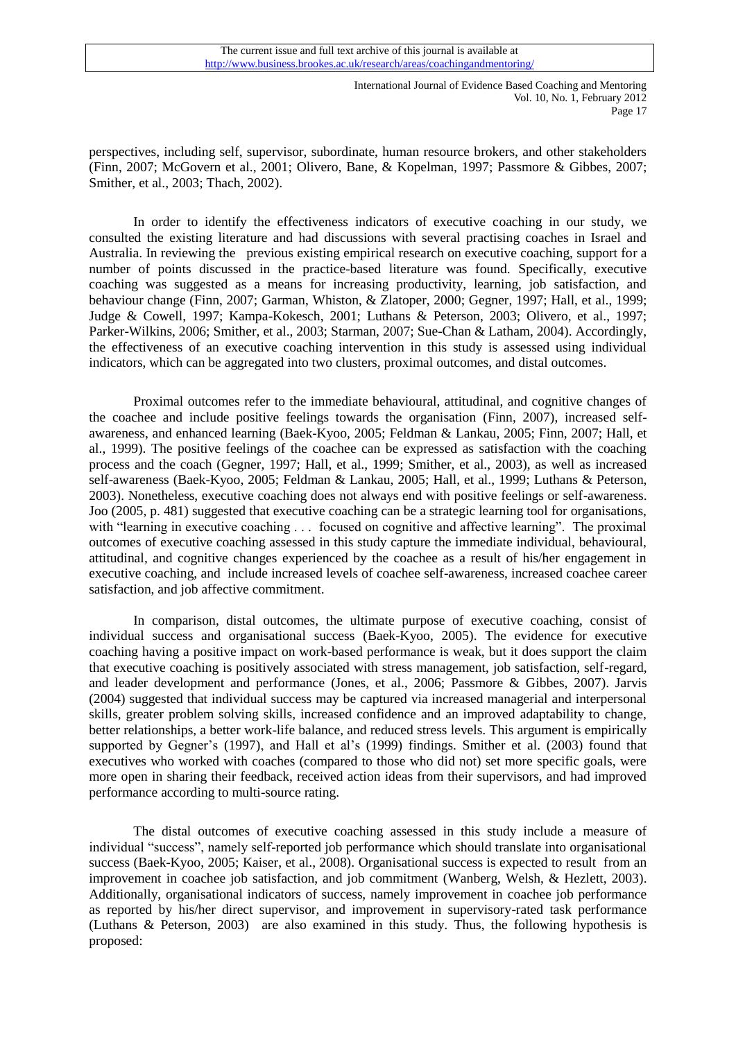perspectives, including self, supervisor, subordinate, human resource brokers, and other stakeholders [\(Finn, 2007;](#page-15-22) [McGovern et al., 2001;](#page-17-21) [Olivero, Bane, & Kopelman, 1997;](#page-17-22) [Passmore & Gibbes, 2007;](#page-17-3) [Smither, et al., 2003;](#page-18-2) [Thach, 2002\)](#page-18-0).

In order to identify the effectiveness indicators of executive coaching in our study, we consulted the existing literature and had discussions with several practising coaches in Israel and Australia. In reviewing the previous existing empirical research on executive coaching, support for a number of points discussed in the practice-based literature was found. Specifically, executive coaching was suggested as a means for increasing productivity, learning, job satisfaction, and behaviour change [\(Finn, 2007;](#page-15-22) [Garman, Whiston, & Zlatoper, 2000;](#page-16-14) [Gegner, 1997;](#page-16-15) [Hall, et al., 1999;](#page-16-6) [Judge & Cowell, 1997;](#page-16-16) [Kampa-Kokesch, 2001;](#page-16-17) [Luthans & Peterson, 2003;](#page-17-23) [Olivero, et al., 1997;](#page-17-22) [Parker-Wilkins, 2006;](#page-17-24) [Smither, et al., 2003;](#page-18-2) [Starman, 2007;](#page-18-10) [Sue-Chan & Latham,](#page-18-11) 2004). Accordingly, the effectiveness of an executive coaching intervention in this study is assessed using individual indicators, which can be aggregated into two clusters, proximal outcomes, and distal outcomes.

Proximal outcomes refer to the immediate behavioural, attitudinal, and cognitive changes of the coachee and include positive feelings towards the organisation [\(Finn, 2007\)](#page-15-22), increased selfawareness, and enhanced learning [\(Baek-Kyoo, 2005;](#page-15-23) [Feldman & Lankau, 2005;](#page-15-3) [Finn, 2007;](#page-15-22) [Hall, et](#page-16-6)  [al., 1999\)](#page-16-6). The positive feelings of the coachee can be expressed as satisfaction with the coaching process and the coach [\(Gegner, 1997;](#page-16-15) [Hall, et al., 1999;](#page-16-6) [Smither, et al., 2003\)](#page-18-2), as well as increased self-awareness [\(Baek-Kyoo, 2005;](#page-15-23) [Feldman & Lankau, 2005;](#page-15-3) [Hall, et al., 1999;](#page-16-6) [Luthans & Peterson,](#page-17-23)  [2003\)](#page-17-23). Nonetheless, executive coaching does not always end with positive feelings or self-awareness. Joo [\(2005, p. 481\)](#page-15-23) suggested that executive coaching can be a strategic learning tool for organisations, with "learning in executive coaching . . . focused on cognitive and affective learning". The proximal outcomes of executive coaching assessed in this study capture the immediate individual, behavioural, attitudinal, and cognitive changes experienced by the coachee as a result of his/her engagement in executive coaching, and include increased levels of coachee self-awareness, increased coachee career satisfaction, and job affective commitment.

In comparison, distal outcomes, the ultimate purpose of executive coaching, consist of individual success and organisational success [\(Baek-Kyoo, 2005\)](#page-15-23). The evidence for executive coaching having a positive impact on work-based performance is weak, but it does support the claim that executive coaching is positively associated with stress management, job satisfaction, self-regard, and leader development and performance [\(Jones, et al., 2006;](#page-16-0) [Passmore & Gibbes, 2007\)](#page-17-3). Jarvis [\(2004\)](#page-16-18) suggested that individual success may be captured via increased managerial and interpersonal skills, greater problem solving skills, increased confidence and an improved adaptability to change, better relationships, a better work-life balance, and reduced stress levels. This argument is empirically supported by Gegner's [\(1997\)](#page-16-15), and Hall et al's [\(1999\)](#page-16-6) findings. Smither et al. [\(2003\)](#page-18-2) found that executives who worked with coaches (compared to those who did not) set more specific goals, were more open in sharing their feedback, received action ideas from their supervisors, and had improved performance according to multi-source rating.

The distal outcomes of executive coaching assessed in this study include a measure of individual "success", namely self-reported job performance which should translate into organisational success [\(Baek-Kyoo, 2005;](#page-15-23) [Kaiser, et al., 2008\)](#page-16-5). Organisational success is expected to result from an improvement in coachee job satisfaction, and job commitment [\(Wanberg, Welsh, & Hezlett, 2003\)](#page-18-12). Additionally, organisational indicators of success, namely improvement in coachee job performance as reported by his/her direct supervisor, and improvement in supervisory-rated task performance [\(Luthans & Peterson, 2003\)](#page-17-23) are also examined in this study. Thus, the following hypothesis is proposed: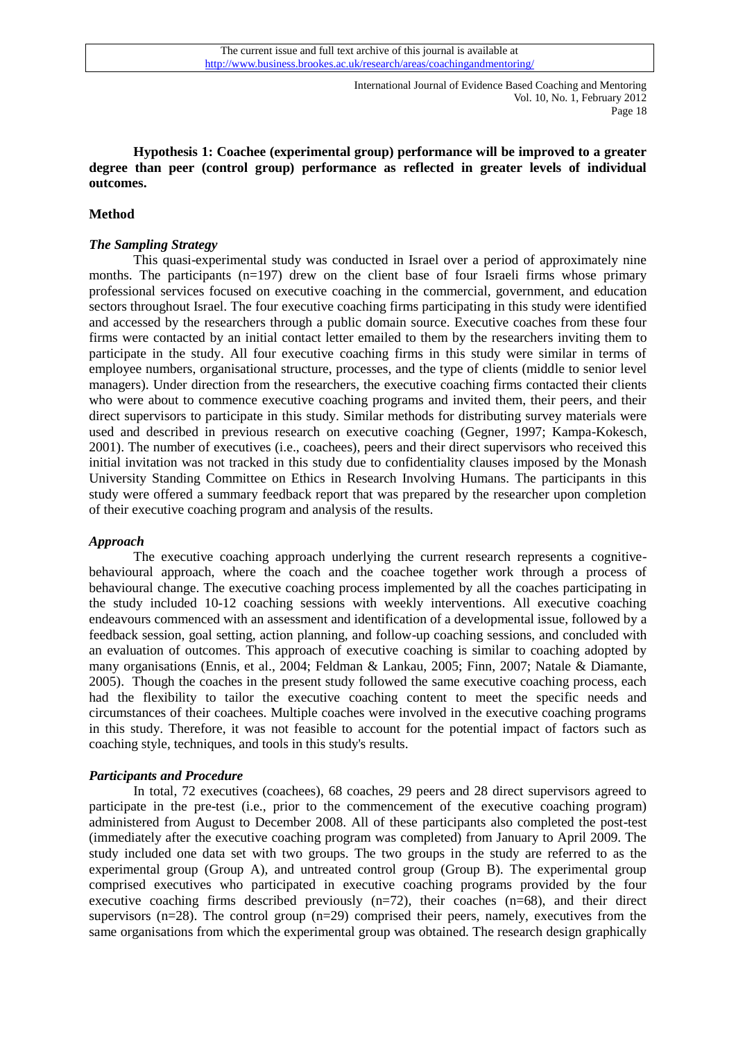**Hypothesis 1: Coachee (experimental group) performance will be improved to a greater degree than peer (control group) performance as reflected in greater levels of individual outcomes.** 

# **Method**

# *The Sampling Strategy*

This quasi-experimental study was conducted in Israel over a period of approximately nine months. The participants  $(n=197)$  drew on the client base of four Israeli firms whose primary professional services focused on executive coaching in the commercial, government, and education sectors throughout Israel. The four executive coaching firms participating in this study were identified and accessed by the researchers through a public domain source. Executive coaches from these four firms were contacted by an initial contact letter emailed to them by the researchers inviting them to participate in the study. All four executive coaching firms in this study were similar in terms of employee numbers, organisational structure, processes, and the type of clients (middle to senior level managers). Under direction from the researchers, the executive coaching firms contacted their clients who were about to commence executive coaching programs and invited them, their peers, and their direct supervisors to participate in this study. Similar methods for distributing survey materials were used and described in previous research on executive coaching [\(Gegner, 1997;](#page-16-15) [Kampa-Kokesch,](#page-16-17)  [2001\)](#page-16-17). The number of executives (i.e., coachees), peers and their direct supervisors who received this initial invitation was not tracked in this study due to confidentiality clauses imposed by the Monash University Standing Committee on Ethics in Research Involving Humans. The participants in this study were offered a summary feedback report that was prepared by the researcher upon completion of their executive coaching program and analysis of the results.

## *Approach*

The executive coaching approach underlying the current research represents a cognitivebehavioural approach, where the coach and the coachee together work through a process of behavioural change. The executive coaching process implemented by all the coaches participating in the study included 10-12 coaching sessions with weekly interventions. All executive coaching endeavours commenced with an assessment and identification of a developmental issue, followed by a feedback session, goal setting, action planning, and follow-up coaching sessions, and concluded with an evaluation of outcomes. This approach of executive coaching is similar to coaching adopted by many organisations [\(Ennis, et al., 2004;](#page-15-13) [Feldman & Lankau, 2005;](#page-15-3) [Finn, 2007;](#page-15-22) [Natale & Diamante,](#page-17-8)  [2005\)](#page-17-8). Though the coaches in the present study followed the same executive coaching process, each had the flexibility to tailor the executive coaching content to meet the specific needs and circumstances of their coachees. Multiple coaches were involved in the executive coaching programs in this study. Therefore, it was not feasible to account for the potential impact of factors such as coaching style, techniques, and tools in this study's results.

#### *Participants and Procedure*

In total, 72 executives (coachees), 68 coaches, 29 peers and 28 direct supervisors agreed to participate in the pre-test (i.e., prior to the commencement of the executive coaching program) administered from August to December 2008. All of these participants also completed the post-test (immediately after the executive coaching program was completed) from January to April 2009. The study included one data set with two groups. The two groups in the study are referred to as the experimental group (Group A), and untreated control group (Group B). The experimental group comprised executives who participated in executive coaching programs provided by the four executive coaching firms described previously  $(n=72)$ , their coaches  $(n=68)$ , and their direct supervisors ( $n=28$ ). The control group ( $n=29$ ) comprised their peers, namely, executives from the same organisations from which the experimental group was obtained. The research design graphically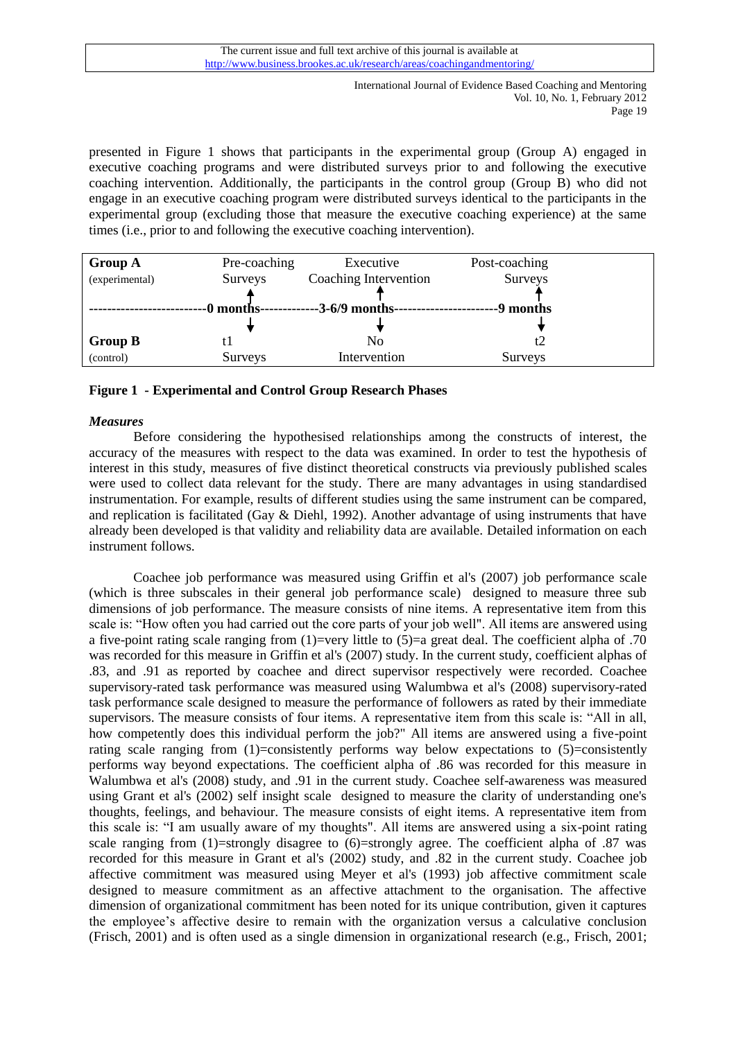presented in Figure 1 shows that participants in the experimental group (Group A) engaged in executive coaching programs and were distributed surveys prior to and following the executive coaching intervention. Additionally, the participants in the control group (Group B) who did not engage in an executive coaching program were distributed surveys identical to the participants in the experimental group (excluding those that measure the executive coaching experience) at the same times (i.e., prior to and following the executive coaching intervention).

| <b>Group A</b> | Pre-coaching   | Executive             | Post-coaching  |  |
|----------------|----------------|-----------------------|----------------|--|
| (experimental) | <b>Surveys</b> | Coaching Intervention | Surveys        |  |
|                |                |                       |                |  |
|                | 0 months-      | $-3-6/9$ months-      | -9 months      |  |
|                |                |                       |                |  |
| <b>Group B</b> |                | No                    | t2             |  |
| (control)      | Surveys        | Intervention          | <b>Surveys</b> |  |

# **Figure 1 - Experimental and Control Group Research Phases**

# *Measures*

Before considering the hypothesised relationships among the constructs of interest, the accuracy of the measures with respect to the data was examined. In order to test the hypothesis of interest in this study, measures of five distinct theoretical constructs via previously published scales were used to collect data relevant for the study. There are many advantages in using standardised instrumentation. For example, results of different studies using the same instrument can be compared, and replication is facilitated [\(Gay & Diehl, 1992\)](#page-16-19). Another advantage of using instruments that have already been developed is that validity and reliability data are available. Detailed information on each instrument follows.

Coachee job performance was measured using Griffin et al's [\(2007\)](#page-16-20) job performance scale (which is three subscales in their general job performance scale) designed to measure three sub dimensions of job performance. The measure consists of nine items. A representative item from this scale is: "How often you had carried out the core parts of your job well". All items are answered using a five-point rating scale ranging from (1)=very little to (5)=a great deal. The coefficient alpha of .70 was recorded for this measure in Griffin et al's [\(2007\)](#page-16-20) study. In the current study, coefficient alphas of .83, and .91 as reported by coachee and direct supervisor respectively were recorded. Coachee supervisory-rated task performance was measured using Walumbwa et al's [\(2008\)](#page-18-13) supervisory-rated task performance scale designed to measure the performance of followers as rated by their immediate supervisors. The measure consists of four items. A representative item from this scale is: "All in all, how competently does this individual perform the job?" All items are answered using a five-point rating scale ranging from  $(1)$ =consistently performs way below expectations to  $(5)$ =consistently performs way beyond expectations. The coefficient alpha of .86 was recorded for this measure in Walumbwa et al's [\(2008\)](#page-18-13) study, and .91 in the current study. Coachee self-awareness was measured using Grant et al's [\(2002\)](#page-16-21) self insight scale designed to measure the clarity of understanding one's thoughts, feelings, and behaviour. The measure consists of eight items. A representative item from this scale is: "I am usually aware of my thoughts". All items are answered using a six-point rating scale ranging from (1)=strongly disagree to (6)=strongly agree. The coefficient alpha of .87 was recorded for this measure in Grant et al's [\(2002\)](#page-16-21) study, and .82 in the current study. Coachee job affective commitment was measured using Meyer et al's [\(1993\)](#page-17-25) job affective commitment scale designed to measure commitment as an affective attachment to the organisation. The affective dimension of organizational commitment has been noted for its unique contribution, given it captures the employee's affective desire to remain with the organization versus a calculative conclusion [\(Frisch, 2001\)](#page-16-22) and is often used as a single dimension in organizational research (e.g., [Frisch, 2001;](#page-16-22)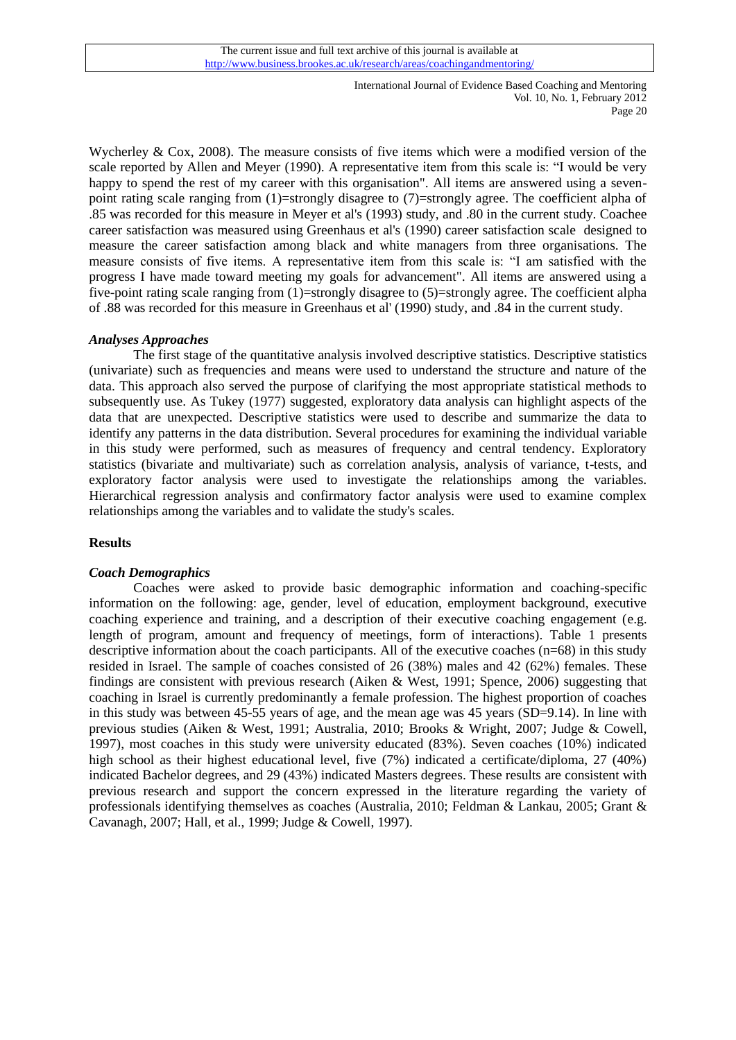[Wycherley & Cox, 2008\)](#page-18-14). The measure consists of five items which were a modified version of the scale reported by Allen and Meyer [\(1990\)](#page-14-4). A representative item from this scale is: "I would be very happy to spend the rest of my career with this organisation". All items are answered using a sevenpoint rating scale ranging from (1)=strongly disagree to (7)=strongly agree. The coefficient alpha of .85 was recorded for this measure in Meyer et al's [\(1993\)](#page-17-25) study, and .80 in the current study. Coachee career satisfaction was measured using Greenhaus et al's [\(1990\)](#page-16-23) career satisfaction scale designed to measure the career satisfaction among black and white managers from three organisations. The measure consists of five items. A representative item from this scale is: "I am satisfied with the progress I have made toward meeting my goals for advancement". All items are answered using a five-point rating scale ranging from (1)=strongly disagree to (5)=strongly agree. The coefficient alpha of .88 was recorded for this measure in Greenhaus et al' [\(1990\)](#page-16-23) study, and .84 in the current study.

# *Analyses Approaches*

The first stage of the quantitative analysis involved descriptive statistics. Descriptive statistics (univariate) such as frequencies and means were used to understand the structure and nature of the data. This approach also served the purpose of clarifying the most appropriate statistical methods to subsequently use. As Tukey [\(1977\)](#page-18-15) suggested, exploratory data analysis can highlight aspects of the data that are unexpected. Descriptive statistics were used to describe and summarize the data to identify any patterns in the data distribution. Several procedures for examining the individual variable in this study were performed, such as measures of frequency and central tendency. Exploratory statistics (bivariate and multivariate) such as correlation analysis, analysis of variance, t-tests, and exploratory factor analysis were used to investigate the relationships among the variables. Hierarchical regression analysis and confirmatory factor analysis were used to examine complex relationships among the variables and to validate the study's scales.

#### **Results**

#### *Coach Demographics*

Coaches were asked to provide basic demographic information and coaching-specific information on the following: age, gender, level of education, employment background, executive coaching experience and training, and a description of their executive coaching engagement (e.g. length of program, amount and frequency of meetings, form of interactions). Table 1 presents descriptive information about the coach participants. All of the executive coaches (n=68) in this study resided in Israel. The sample of coaches consisted of 26 (38%) males and 42 (62%) females. These findings are consistent with previous research [\(Aiken & West, 1991;](#page-14-2) [Spence, 2006\)](#page-18-3) suggesting that coaching in Israel is currently predominantly a female profession. The highest proportion of coaches in this study was between 45-55 years of age, and the mean age was 45 years (SD=9.14). In line with previous studies [\(Aiken & West, 1991;](#page-14-2) [Australia, 2010;](#page-15-24) [Brooks & Wright, 2007;](#page-15-25) [Judge & Cowell,](#page-16-16)  [1997\)](#page-16-16), most coaches in this study were university educated (83%). Seven coaches (10%) indicated high school as their highest educational level, five (7%) indicated a certificate/diploma, 27 (40%) indicated Bachelor degrees, and 29 (43%) indicated Masters degrees. These results are consistent with previous research and support the concern expressed in the literature regarding the variety of professionals identifying themselves as coaches [\(Australia, 2010;](#page-15-24) [Feldman & Lankau, 2005;](#page-15-3) [Grant &](#page-16-24)  [Cavanagh, 2007;](#page-16-24) [Hall, et al., 1999;](#page-16-6) [Judge & Cowell, 1997\)](#page-16-16).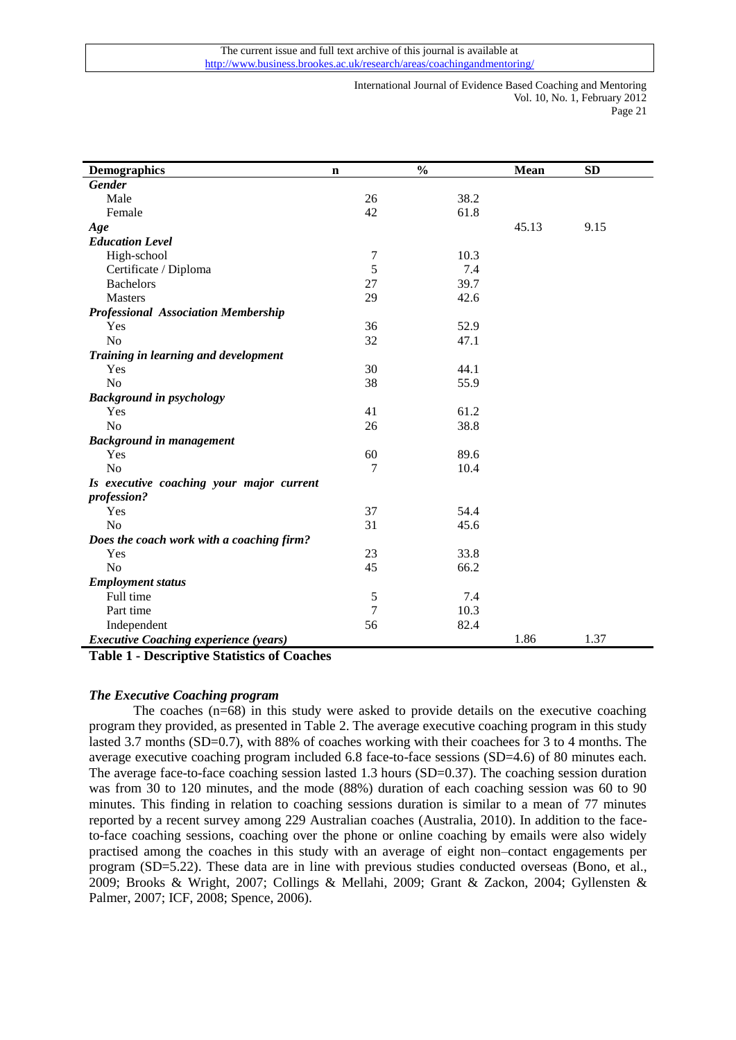| <b>Demographics</b>                          | n              | $\frac{0}{0}$ | Mean  | <b>SD</b> |
|----------------------------------------------|----------------|---------------|-------|-----------|
| <b>Gender</b>                                |                |               |       |           |
| Male                                         | 26             | 38.2          |       |           |
| Female                                       | 42             | 61.8          |       |           |
| Age                                          |                |               | 45.13 | 9.15      |
| <b>Education Level</b>                       |                |               |       |           |
| High-school                                  | $\overline{7}$ | 10.3          |       |           |
| Certificate / Diploma                        | 5              | 7.4           |       |           |
| <b>Bachelors</b>                             | 27             | 39.7          |       |           |
| <b>Masters</b>                               | 29             | 42.6          |       |           |
| <b>Professional Association Membership</b>   |                |               |       |           |
| Yes                                          | 36             | 52.9          |       |           |
| N <sub>o</sub>                               | 32             | 47.1          |       |           |
| Training in learning and development         |                |               |       |           |
| Yes                                          | 30             | 44.1          |       |           |
| N <sub>o</sub>                               | 38             | 55.9          |       |           |
| <b>Background in psychology</b>              |                |               |       |           |
| Yes                                          | 41             | 61.2          |       |           |
| N <sub>o</sub>                               | 26             | 38.8          |       |           |
| <b>Background in management</b>              |                |               |       |           |
| Yes                                          | 60             | 89.6          |       |           |
| N <sub>o</sub>                               | 7              | 10.4          |       |           |
| Is executive coaching your major current     |                |               |       |           |
| profession?                                  |                |               |       |           |
| Yes                                          | 37             | 54.4          |       |           |
| N <sub>o</sub>                               | 31             | 45.6          |       |           |
| Does the coach work with a coaching firm?    |                |               |       |           |
| Yes                                          | 23             | 33.8          |       |           |
| No                                           | 45             | 66.2          |       |           |
| <b>Employment status</b>                     |                |               |       |           |
| Full time                                    | $\mathfrak s$  | 7.4           |       |           |
| Part time                                    | $\overline{7}$ | 10.3          |       |           |
| Independent                                  | 56             | 82.4          |       |           |
| <b>Executive Coaching experience (years)</b> |                |               | 1.86  | 1.37      |

**Table 1 - Descriptive Statistics of Coaches**

# *The Executive Coaching program*

The coaches (n=68) in this study were asked to provide details on the executive coaching program they provided, as presented in Table 2. The average executive coaching program in this study lasted 3.7 months (SD=0.7), with 88% of coaches working with their coachees for 3 to 4 months. The average executive coaching program included 6.8 face-to-face sessions (SD=4.6) of 80 minutes each. The average face-to-face coaching session lasted 1.3 hours (SD=0.37). The coaching session duration was from 30 to 120 minutes, and the mode (88%) duration of each coaching session was 60 to 90 minutes. This finding in relation to coaching sessions duration is similar to a mean of 77 minutes reported by a recent survey among 229 Australian coaches [\(Australia, 2010\)](#page-15-24). In addition to the faceto-face coaching sessions, coaching over the phone or online coaching by emails were also widely practised among the coaches in this study with an average of eight non–contact engagements per program (SD=5.22). These data are in line with previous studies conducted overseas [\(Bono, et al.,](#page-15-0)  [2009;](#page-15-0) [Brooks & Wright, 2007;](#page-15-25) [Collings & Mellahi, 2009;](#page-15-10) [Grant & Zackon, 2004;](#page-16-25) [Gyllensten &](#page-16-2)  [Palmer, 2007;](#page-16-2) [ICF, 2008;](#page-16-1) [Spence, 2006\)](#page-18-3).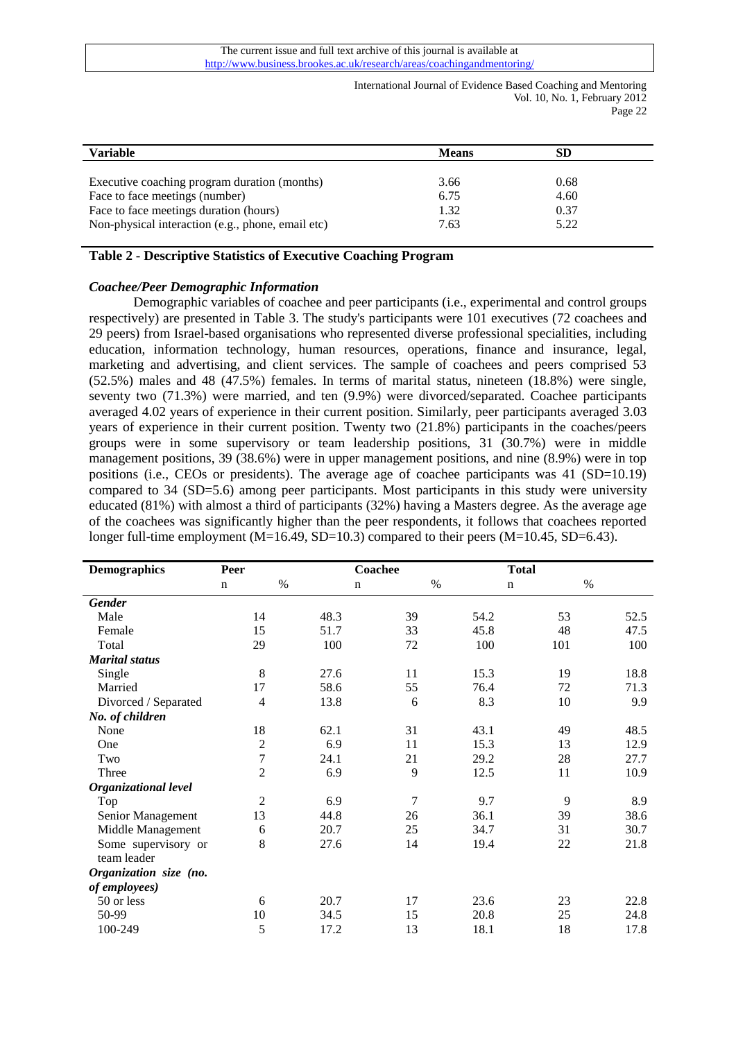| <b>Variable</b>                                   | <b>Means</b> | <b>SD</b> |
|---------------------------------------------------|--------------|-----------|
|                                                   |              |           |
| Executive coaching program duration (months)      | 3.66         | 0.68      |
| Face to face meetings (number)                    | 6.75         | 4.60      |
| Face to face meetings duration (hours)            | 1.32         | 0.37      |
| Non-physical interaction (e.g., phone, email etc) | 7.63         | 5.22      |

## **Table 2 - Descriptive Statistics of Executive Coaching Program**

#### *Coachee/Peer Demographic Information*

Demographic variables of coachee and peer participants (i.e., experimental and control groups respectively) are presented in Table 3. The study's participants were 101 executives (72 coachees and 29 peers) from Israel-based organisations who represented diverse professional specialities, including education, information technology, human resources, operations, finance and insurance, legal, marketing and advertising, and client services. The sample of coachees and peers comprised 53 (52.5%) males and 48 (47.5%) females. In terms of marital status, nineteen (18.8%) were single, seventy two (71.3%) were married, and ten (9.9%) were divorced/separated. Coachee participants averaged 4.02 years of experience in their current position. Similarly, peer participants averaged 3.03 years of experience in their current position. Twenty two (21.8%) participants in the coaches/peers groups were in some supervisory or team leadership positions, 31 (30.7%) were in middle management positions, 39 (38.6%) were in upper management positions, and nine (8.9%) were in top positions (i.e., CEOs or presidents). The average age of coachee participants was 41 (SD=10.19) compared to 34 (SD=5.6) among peer participants. Most participants in this study were university educated (81%) with almost a third of participants (32%) having a Masters degree. As the average age of the coachees was significantly higher than the peer respondents, it follows that coachees reported longer full-time employment (M=16.49, SD=10.3) compared to their peers (M=10.45, SD=6.43).

| <b>Demographics</b>         | Peer           |      | Coachee     |      | <b>Total</b> |      |
|-----------------------------|----------------|------|-------------|------|--------------|------|
|                             | $\mathbf n$    | $\%$ | $\mathbf n$ | $\%$ | $\mathbf n$  | $\%$ |
| <b>Gender</b>               |                |      |             |      |              |      |
| Male                        | 14             | 48.3 | 39          | 54.2 | 53           | 52.5 |
| Female                      | 15             | 51.7 | 33          | 45.8 | 48           | 47.5 |
| Total                       | 29             | 100  | 72          | 100  | 101          | 100  |
| <b>Marital status</b>       |                |      |             |      |              |      |
| Single                      | $\,8\,$        | 27.6 | 11          | 15.3 | 19           | 18.8 |
| Married                     | 17             | 58.6 | 55          | 76.4 | 72           | 71.3 |
| Divorced / Separated        | 4              | 13.8 | 6           | 8.3  | 10           | 9.9  |
| No. of children             |                |      |             |      |              |      |
| None                        | 18             | 62.1 | 31          | 43.1 | 49           | 48.5 |
| One                         | $\overline{c}$ | 6.9  | 11          | 15.3 | 13           | 12.9 |
| Two                         | $\overline{7}$ | 24.1 | 21          | 29.2 | 28           | 27.7 |
| Three                       | $\overline{2}$ | 6.9  | 9           | 12.5 | 11           | 10.9 |
| <b>Organizational level</b> |                |      |             |      |              |      |
| Top                         | $\overline{2}$ | 6.9  | 7           | 9.7  | 9            | 8.9  |
| Senior Management           | 13             | 44.8 | 26          | 36.1 | 39           | 38.6 |
| Middle Management           | 6              | 20.7 | 25          | 34.7 | 31           | 30.7 |
| Some supervisory or         | 8              | 27.6 | 14          | 19.4 | 22           | 21.8 |
| team leader                 |                |      |             |      |              |      |
| Organization size (no.      |                |      |             |      |              |      |
| of employees)               |                |      |             |      |              |      |
| 50 or less                  | 6              | 20.7 | 17          | 23.6 | 23           | 22.8 |
| 50-99                       | 10             | 34.5 | 15          | 20.8 | 25           | 24.8 |
| 100-249                     | 5              | 17.2 | 13          | 18.1 | 18           | 17.8 |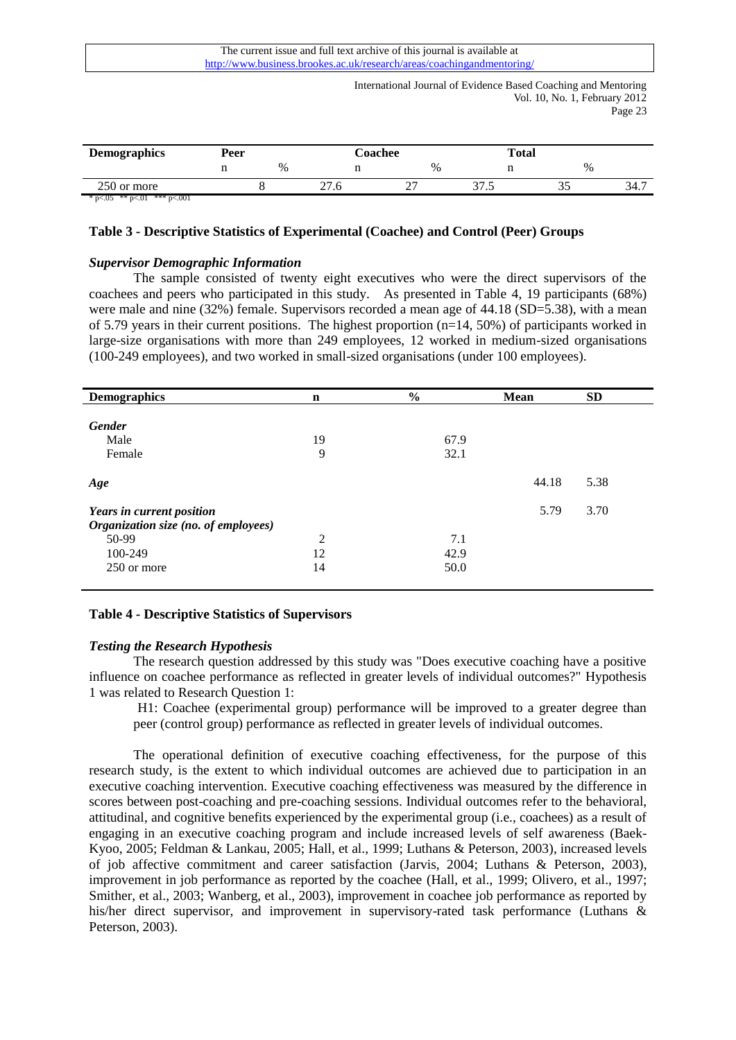The current issue and full text archive of this journal is available at http://www.business.brookes.ac.uk/research/areas/coachingandmentoring/

> International Journal of Evidence Based Coaching and Mentoring Vol. 10, No. 1, February 2012 Page 23

| <b>Demographics</b> | Peer |   | <b>Coachee</b> |      | <b>Total</b>    |   |      |  |
|---------------------|------|---|----------------|------|-----------------|---|------|--|
|                     |      | % |                | $\%$ |                 | % |      |  |
| 250 or more         |      |   | 27.0           | ~~   | $\sim$<br>ن ، ب | ັ | 34.7 |  |

\* p $<05$  \*\* p $<01$  \*\*\* p $<001$ 

# **Table 3 - Descriptive Statistics of Experimental (Coachee) and Control (Peer) Groups**

## *Supervisor Demographic Information*

The sample consisted of twenty eight executives who were the direct supervisors of the coachees and peers who participated in this study. As presented in Table 4, 19 participants (68%) were male and nine (32%) female. Supervisors recorded a mean age of 44.18 (SD=5.38), with a mean of 5.79 years in their current positions. The highest proportion (n=14, 50%) of participants worked in large-size organisations with more than 249 employees, 12 worked in medium-sized organisations (100-249 employees), and two worked in small-sized organisations (under 100 employees).

| <b>Demographics</b>                                                                                  | $\mathbf n$   | $\frac{6}{6}$       | <b>Mean</b> | <b>SD</b> |
|------------------------------------------------------------------------------------------------------|---------------|---------------------|-------------|-----------|
| <b>Gender</b><br>Male<br>Female                                                                      | 19<br>9       | 67.9<br>32.1        |             |           |
| Age                                                                                                  |               |                     | 44.18       | 5.38      |
| Years in current position<br>Organization size (no. of employees)<br>50-99<br>100-249<br>250 or more | 2<br>12<br>14 | 7.1<br>42.9<br>50.0 | 5.79        | 3.70      |

# **Table 4 - Descriptive Statistics of Supervisors**

# *Testing the Research Hypothesis*

The research question addressed by this study was "Does executive coaching have a positive influence on coachee performance as reflected in greater levels of individual outcomes?" Hypothesis 1 was related to Research Question 1:

H1: Coachee (experimental group) performance will be improved to a greater degree than peer (control group) performance as reflected in greater levels of individual outcomes.

The operational definition of executive coaching effectiveness, for the purpose of this research study, is the extent to which individual outcomes are achieved due to participation in an executive coaching intervention. Executive coaching effectiveness was measured by the difference in scores between post-coaching and pre-coaching sessions. Individual outcomes refer to the behavioral, attitudinal, and cognitive benefits experienced by the experimental group (i.e., coachees) as a result of engaging in an executive coaching program and include increased levels of self awareness [\(Baek-](#page-15-23)[Kyoo, 2005;](#page-15-23) [Feldman & Lankau, 2005;](#page-15-3) [Hall, et al., 1999;](#page-16-6) [Luthans & Peterson, 2003\)](#page-17-23), increased levels of job affective commitment and career satisfaction [\(Jarvis, 2004;](#page-16-18) [Luthans & Peterson, 2003\)](#page-17-23), improvement in job performance as reported by the coachee [\(Hall, et al., 1999;](#page-16-6) [Olivero, et al., 1997;](#page-17-22) [Smither, et al., 2003;](#page-18-2) [Wanberg, et al., 2003\)](#page-18-12), improvement in coachee job performance as reported by his/her direct supervisor, and improvement in supervisory-rated task performance [\(Luthans &](#page-17-23)  [Peterson, 2003\)](#page-17-23).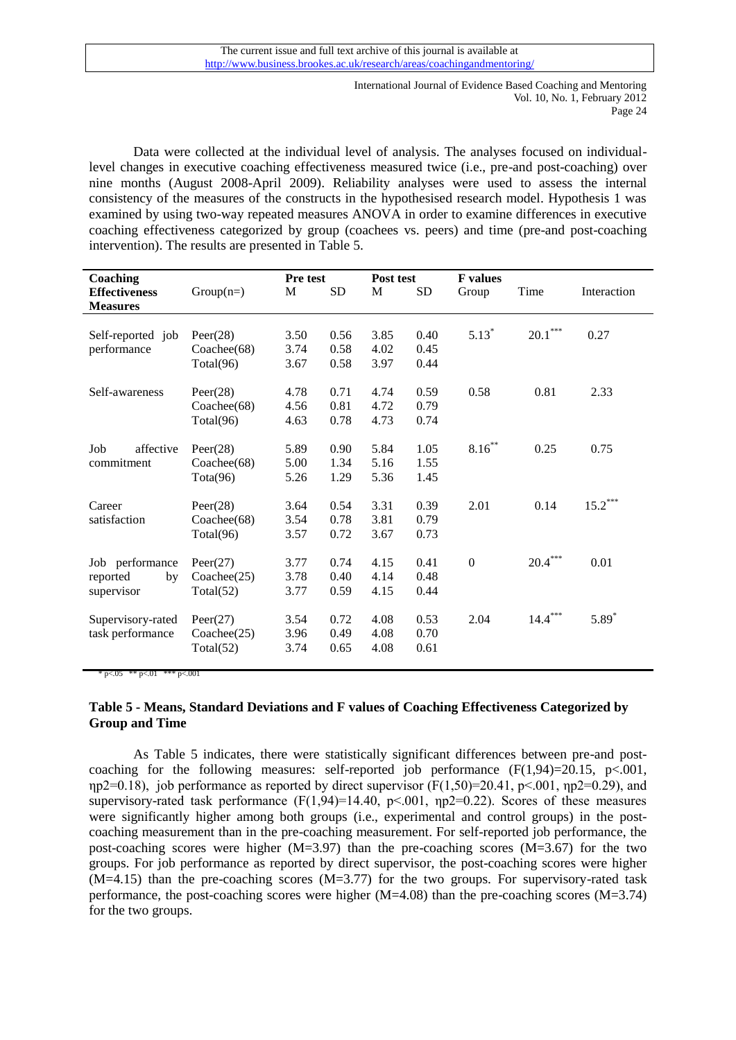Data were collected at the individual level of analysis. The analyses focused on individuallevel changes in executive coaching effectiveness measured twice (i.e., pre-and post-coaching) over nine months (August 2008-April 2009). Reliability analyses were used to assess the internal consistency of the measures of the constructs in the hypothesised research model. Hypothesis 1 was examined by using two-way repeated measures ANOVA in order to examine differences in executive coaching effectiveness categorized by group (coachees vs. peers) and time (pre-and post-coaching intervention). The results are presented in Table 5.

| Coaching             |             | <b>Pre test</b> |           | Post test |           | <b>F</b> values |                     |             |
|----------------------|-------------|-----------------|-----------|-----------|-----------|-----------------|---------------------|-------------|
| <b>Effectiveness</b> | $Group(n=)$ | M               | <b>SD</b> | M         | <b>SD</b> | Group           | Time                | Interaction |
| <b>Measures</b>      |             |                 |           |           |           |                 |                     |             |
|                      |             |                 |           |           |           |                 |                     |             |
| Self-reported job    | Peer $(28)$ | 3.50            | 0.56      | 3.85      | 0.40      | $5.13*$         | $20.1^\mathrm{***}$ | 0.27        |
| performance          | Coachee(68) | 3.74            | 0.58      | 4.02      | 0.45      |                 |                     |             |
|                      | Total(96)   | 3.67            | 0.58      | 3.97      | 0.44      |                 |                     |             |
| Self-awareness       | Peer(28)    | 4.78            | 0.71      | 4.74      | 0.59      | 0.58            | 0.81                | 2.33        |
|                      | Coachee(68) | 4.56            | 0.81      | 4.72      | 0.79      |                 |                     |             |
|                      | Total(96)   | 4.63            | 0.78      | 4.73      | 0.74      |                 |                     |             |
| affective<br>Job     | Peer $(28)$ | 5.89            | 0.90      | 5.84      | 1.05      | $8.16***$       | 0.25                | 0.75        |
| commitment           |             |                 | 1.34      |           | 1.55      |                 |                     |             |
|                      | Coachee(68) | 5.00            |           | 5.16      |           |                 |                     |             |
|                      | Tota(96)    | 5.26            | 1.29      | 5.36      | 1.45      |                 |                     |             |
| Career               | Peer(28)    | 3.64            | 0.54      | 3.31      | 0.39      | 2.01            | 0.14                | $15.2***$   |
| satisfaction         | Coachee(68) | 3.54            | 0.78      | 3.81      | 0.79      |                 |                     |             |
|                      | Total(96)   | 3.57            | 0.72      | 3.67      | 0.73      |                 |                     |             |
|                      |             | 3.77            | 0.74      | 4.15      | 0.41      | $\mathbf{0}$    | $20.4\sp{***}$      | 0.01        |
| Job performance      | Peer(27)    | 3.78            | 0.40      | 4.14      | 0.48      |                 |                     |             |
| reported<br>by       | Coachee(25) |                 |           |           |           |                 |                     |             |
| supervisor           | Total(52)   | 3.77            | 0.59      | 4.15      | 0.44      |                 |                     |             |
| Supervisory-rated    | Peer(27)    | 3.54            | 0.72      | 4.08      | 0.53      | 2.04            | $14.4***$           | $5.89*$     |
| task performance     | Coachee(25) | 3.96            | 0.49      | 4.08      | 0.70      |                 |                     |             |
|                      | Total(52)   | 3.74            | 0.65      | 4.08      | 0.61      |                 |                     |             |
|                      |             |                 |           |           |           |                 |                     |             |

 $\cdot$  p<.05  $\cdot$  \*\* p<.01  $\cdot$  \*\*\* p<.001

# **Table 5 - Means, Standard Deviations and F values of Coaching Effectiveness Categorized by Group and Time**

As Table 5 indicates, there were statistically significant differences between pre-and postcoaching for the following measures: self-reported job performance  $(F(1,94)=20.15, p<0.01,$ ηp2=0.18), job performance as reported by direct supervisor  $(F(1,50)=20.41, p<.001, np2=0.29)$ , and supervisory-rated task performance (F(1,94)=14.40, p<.001, ηp2=0.22). Scores of these measures were significantly higher among both groups (i.e., experimental and control groups) in the postcoaching measurement than in the pre-coaching measurement. For self-reported job performance, the post-coaching scores were higher (M=3.97) than the pre-coaching scores (M=3.67) for the two groups. For job performance as reported by direct supervisor, the post-coaching scores were higher  $(M=4.15)$  than the pre-coaching scores  $(M=3.77)$  for the two groups. For supervisory-rated task performance, the post-coaching scores were higher (M=4.08) than the pre-coaching scores (M=3.74) for the two groups.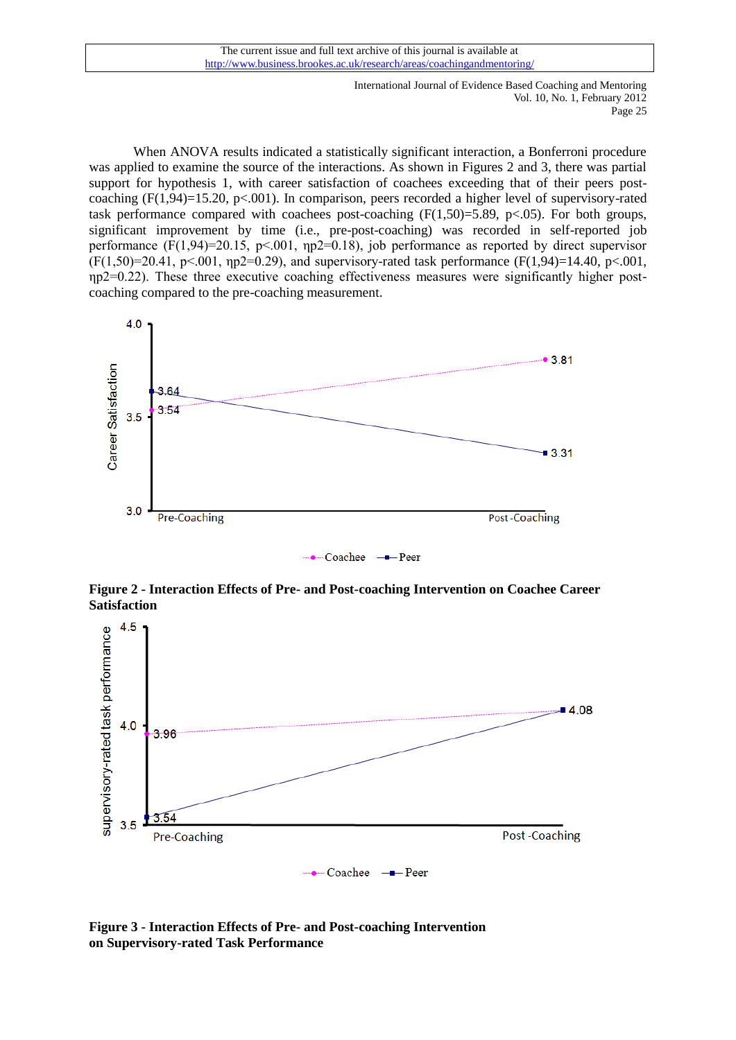When ANOVA results indicated a statistically significant interaction, a Bonferroni procedure was applied to examine the source of the interactions. As shown in Figures 2 and 3, there was partial support for hypothesis 1, with career satisfaction of coachees exceeding that of their peers postcoaching  $(F(1,94)=15.20, p<.001)$ . In comparison, peers recorded a higher level of supervisory-rated task performance compared with coachees post-coaching  $(F(1,50)=5.89, p<0.05)$ . For both groups, significant improvement by time (i.e., pre-post-coaching) was recorded in self-reported job performance  $(F(1,94)=20.15, p<0.01, np2=0.18)$ , job performance as reported by direct supervisor  $(F(1,50)=20.41, p<0.01, \eta p2=0.29)$ , and supervisory-rated task performance  $(F(1,94)=14.40, p<0.01, p<0.01)$ ηp2=0.22). These three executive coaching effectiveness measures were significantly higher postcoaching compared to the pre-coaching measurement.



**Figure 2 - Interaction Effects of Pre- and Post-coaching Intervention on Coachee Career Satisfaction**



**Figure 3 - Interaction Effects of Pre- and Post-coaching Intervention on Supervisory-rated Task Performance**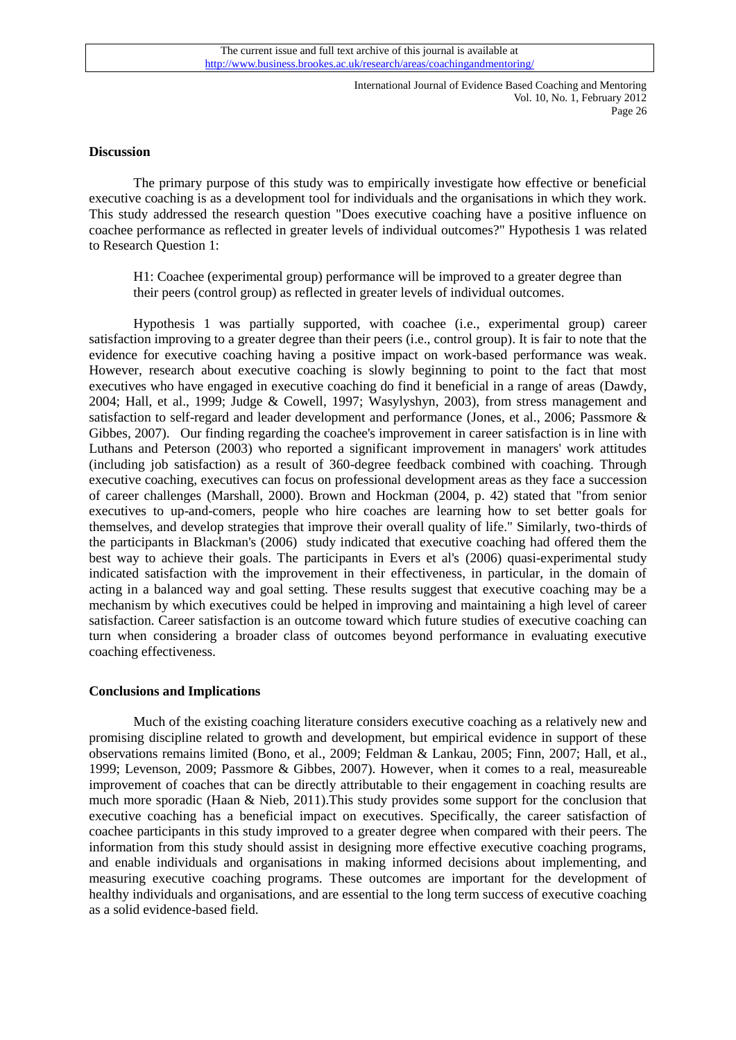#### **Discussion**

The primary purpose of this study was to empirically investigate how effective or beneficial executive coaching is as a development tool for individuals and the organisations in which they work. This study addressed the research question "Does executive coaching have a positive influence on coachee performance as reflected in greater levels of individual outcomes?" Hypothesis 1 was related to Research Question 1:

H1: Coachee (experimental group) performance will be improved to a greater degree than their peers (control group) as reflected in greater levels of individual outcomes.

Hypothesis 1 was partially supported, with coachee (i.e., experimental group) career satisfaction improving to a greater degree than their peers (i.e., control group). It is fair to note that the evidence for executive coaching having a positive impact on work-based performance was weak. However, research about executive coaching is slowly beginning to point to the fact that most executives who have engaged in executive coaching do find it beneficial in a range of areas [\(Dawdy,](#page-15-26)  [2004;](#page-15-26) [Hall, et al., 1999;](#page-16-6) [Judge & Cowell, 1997;](#page-16-16) [Wasylyshyn, 2003\)](#page-18-4), from stress management and satisfaction to self-regard and leader development and performance [\(Jones, et al., 2006;](#page-16-0) [Passmore &](#page-17-3)  [Gibbes, 2007\)](#page-17-3). Our finding regarding the coachee's improvement in career satisfaction is in line with Luthans and Peterson [\(2003\)](#page-17-23) who reported a significant improvement in managers' work attitudes (including job satisfaction) as a result of 360-degree feedback combined with coaching. Through executive coaching, executives can focus on professional development areas as they face a succession of career challenges [\(Marshall, 2000\)](#page-17-26). Brown and Hockman [\(2004, p. 42\)](#page-15-27) stated that "from senior executives to up-and-comers, people who hire coaches are learning how to set better goals for themselves, and develop strategies that improve their overall quality of life." Similarly, two-thirds of the participants in Blackman's [\(2006\)](#page-15-8) study indicated that executive coaching had offered them the best way to achieve their goals. The participants in Evers et al's [\(2006\)](#page-15-20) quasi-experimental study indicated satisfaction with the improvement in their effectiveness, in particular, in the domain of acting in a balanced way and goal setting. These results suggest that executive coaching may be a mechanism by which executives could be helped in improving and maintaining a high level of career satisfaction. Career satisfaction is an outcome toward which future studies of executive coaching can turn when considering a broader class of outcomes beyond performance in evaluating executive coaching effectiveness.

# **Conclusions and Implications**

Much of the existing coaching literature considers executive coaching as a relatively new and promising discipline related to growth and development, but empirical evidence in support of these observations remains limited [\(Bono, et al., 2009;](#page-15-0) [Feldman & Lankau, 2005;](#page-15-3) [Finn, 2007;](#page-15-22) [Hall, et al.,](#page-16-6)  [1999;](#page-16-6) [Levenson, 2009;](#page-17-1) [Passmore & Gibbes, 2007\)](#page-17-3). However, when it comes to a real, measureable improvement of coaches that can be directly attributable to their engagement in coaching results are much more sporadic (Haan  $\&$  Nieb, 2011). This study provides some support for the conclusion that executive coaching has a beneficial impact on executives. Specifically, the career satisfaction of coachee participants in this study improved to a greater degree when compared with their peers. The information from this study should assist in designing more effective executive coaching programs, and enable individuals and organisations in making informed decisions about implementing, and measuring executive coaching programs. These outcomes are important for the development of healthy individuals and organisations, and are essential to the long term success of executive coaching as a solid evidence-based field.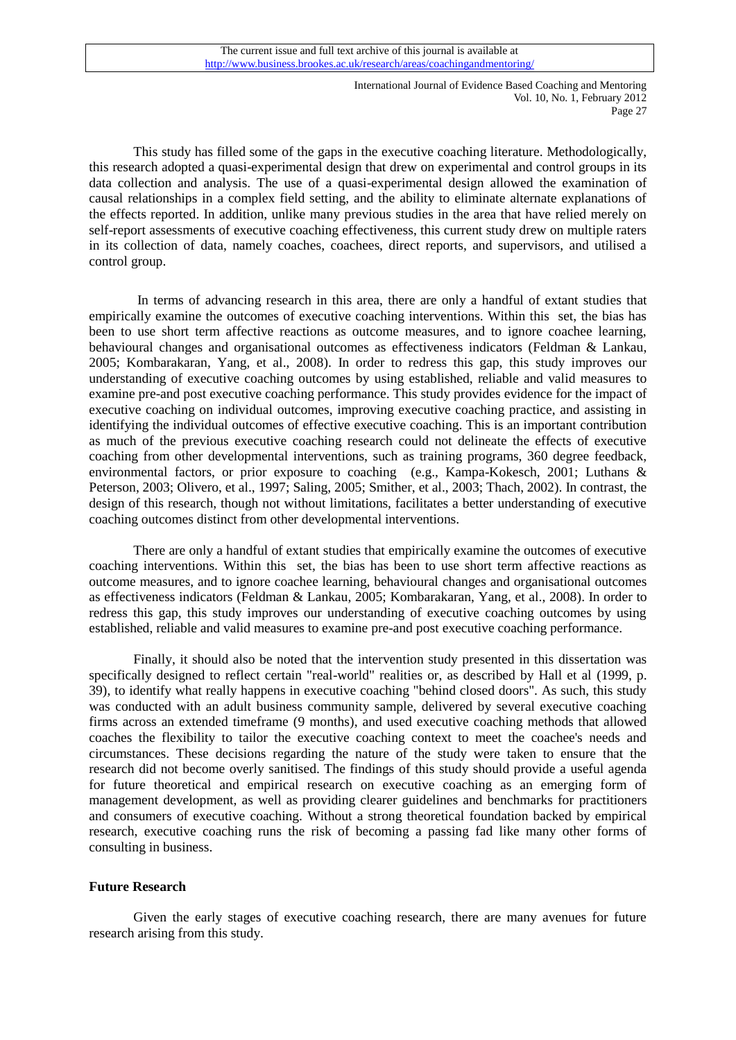This study has filled some of the gaps in the executive coaching literature. Methodologically, this research adopted a quasi-experimental design that drew on experimental and control groups in its data collection and analysis. The use of a quasi-experimental design allowed the examination of causal relationships in a complex field setting, and the ability to eliminate alternate explanations of the effects reported. In addition, unlike many previous studies in the area that have relied merely on self-report assessments of executive coaching effectiveness, this current study drew on multiple raters in its collection of data, namely coaches, coachees, direct reports, and supervisors, and utilised a control group.

In terms of advancing research in this area, there are only a handful of extant studies that empirically examine the outcomes of executive coaching interventions. Within this set, the bias has been to use short term affective reactions as outcome measures, and to ignore coachee learning, behavioural changes and organisational outcomes as effectiveness indicators [\(Feldman & Lankau,](#page-15-3)  [2005;](#page-15-3) [Kombarakaran, Yang, et al., 2008\)](#page-17-0). In order to redress this gap, this study improves our understanding of executive coaching outcomes by using established, reliable and valid measures to examine pre-and post executive coaching performance. This study provides evidence for the impact of executive coaching on individual outcomes, improving executive coaching practice, and assisting in identifying the individual outcomes of effective executive coaching. This is an important contribution as much of the previous executive coaching research could not delineate the effects of executive coaching from other developmental interventions, such as training programs, 360 degree feedback, environmental factors, or prior exposure to coaching (e.g., [Kampa-Kokesch, 2001;](#page-16-17) [Luthans &](#page-17-23)  [Peterson, 2003;](#page-17-23) [Olivero, et al., 1997;](#page-17-22) [Saling, 2005;](#page-18-16) [Smither, et al., 2003;](#page-18-2) [Thach, 2002\)](#page-18-0). In contrast, the design of this research, though not without limitations, facilitates a better understanding of executive coaching outcomes distinct from other developmental interventions.

There are only a handful of extant studies that empirically examine the outcomes of executive coaching interventions. Within this set, the bias has been to use short term affective reactions as outcome measures, and to ignore coachee learning, behavioural changes and organisational outcomes as effectiveness indicators [\(Feldman & Lankau, 2005;](#page-15-3) [Kombarakaran, Yang, et al., 2008\)](#page-17-0). In order to redress this gap, this study improves our understanding of executive coaching outcomes by using established, reliable and valid measures to examine pre-and post executive coaching performance.

Finally, it should also be noted that the intervention study presented in this dissertation was specifically designed to reflect certain "real-world" realities or, as described by Hall et al [\(1999, p.](#page-16-6)  [39\)](#page-16-6), to identify what really happens in executive coaching "behind closed doors". As such, this study was conducted with an adult business community sample, delivered by several executive coaching firms across an extended timeframe (9 months), and used executive coaching methods that allowed coaches the flexibility to tailor the executive coaching context to meet the coachee's needs and circumstances. These decisions regarding the nature of the study were taken to ensure that the research did not become overly sanitised. The findings of this study should provide a useful agenda for future theoretical and empirical research on executive coaching as an emerging form of management development, as well as providing clearer guidelines and benchmarks for practitioners and consumers of executive coaching. Without a strong theoretical foundation backed by empirical research, executive coaching runs the risk of becoming a passing fad like many other forms of consulting in business.

## **Future Research**

Given the early stages of executive coaching research, there are many avenues for future research arising from this study.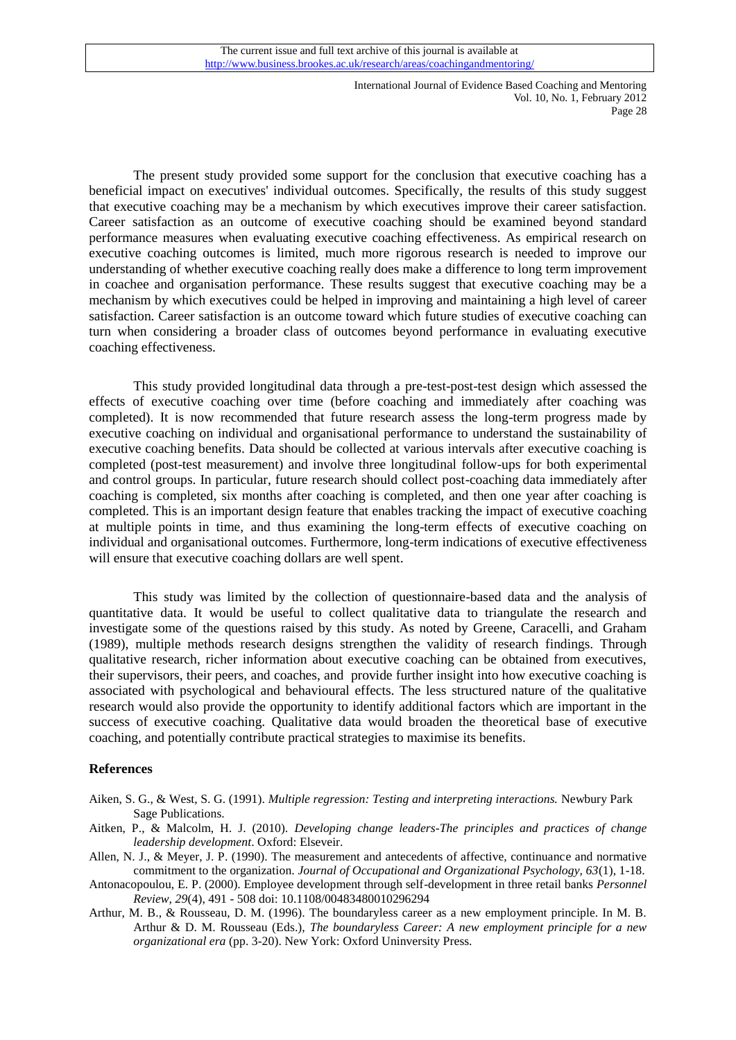The present study provided some support for the conclusion that executive coaching has a beneficial impact on executives' individual outcomes. Specifically, the results of this study suggest that executive coaching may be a mechanism by which executives improve their career satisfaction. Career satisfaction as an outcome of executive coaching should be examined beyond standard performance measures when evaluating executive coaching effectiveness. As empirical research on executive coaching outcomes is limited, much more rigorous research is needed to improve our understanding of whether executive coaching really does make a difference to long term improvement in coachee and organisation performance. These results suggest that executive coaching may be a mechanism by which executives could be helped in improving and maintaining a high level of career satisfaction. Career satisfaction is an outcome toward which future studies of executive coaching can turn when considering a broader class of outcomes beyond performance in evaluating executive coaching effectiveness.

This study provided longitudinal data through a pre-test-post-test design which assessed the effects of executive coaching over time (before coaching and immediately after coaching was completed). It is now recommended that future research assess the long-term progress made by executive coaching on individual and organisational performance to understand the sustainability of executive coaching benefits. Data should be collected at various intervals after executive coaching is completed (post-test measurement) and involve three longitudinal follow-ups for both experimental and control groups. In particular, future research should collect post-coaching data immediately after coaching is completed, six months after coaching is completed, and then one year after coaching is completed. This is an important design feature that enables tracking the impact of executive coaching at multiple points in time, and thus examining the long-term effects of executive coaching on individual and organisational outcomes. Furthermore, long-term indications of executive effectiveness will ensure that executive coaching dollars are well spent.

This study was limited by the collection of questionnaire-based data and the analysis of quantitative data. It would be useful to collect qualitative data to triangulate the research and investigate some of the questions raised by this study. As noted by Greene, Caracelli, and Graham [\(1989\)](#page-16-27), multiple methods research designs strengthen the validity of research findings. Through qualitative research, richer information about executive coaching can be obtained from executives, their supervisors, their peers, and coaches, and provide further insight into how executive coaching is associated with psychological and behavioural effects. The less structured nature of the qualitative research would also provide the opportunity to identify additional factors which are important in the success of executive coaching. Qualitative data would broaden the theoretical base of executive coaching, and potentially contribute practical strategies to maximise its benefits.

#### **References**

- <span id="page-14-2"></span>Aiken, S. G., & West, S. G. (1991). *Multiple regression: Testing and interpreting interactions.* Newbury Park Sage Publications.
- <span id="page-14-0"></span>Aitken, P., & Malcolm, H. J. (2010). *Developing change leaders-The principles and practices of change leadership development*. Oxford: Elseveir.
- <span id="page-14-4"></span>Allen, N. J., & Meyer, J. P. (1990). The measurement and antecedents of affective, continuance and normative commitment to the organization. *Journal of Occupational and Organizational Psychology, 63*(1), 1-18.
- <span id="page-14-3"></span>Antonacopoulou, E. P. (2000). Employee development through self-development in three retail banks *Personnel Review, 29*(4), 491 - 508 doi: 10.1108/00483480010296294
- <span id="page-14-1"></span>Arthur, M. B., & Rousseau, D. M. (1996). The boundaryless career as a new employment principle. In M. B. Arthur & D. M. Rousseau (Eds.), *The boundaryless Career: A new employment principle for a new organizational era* (pp. 3-20). New York: Oxford Uninversity Press.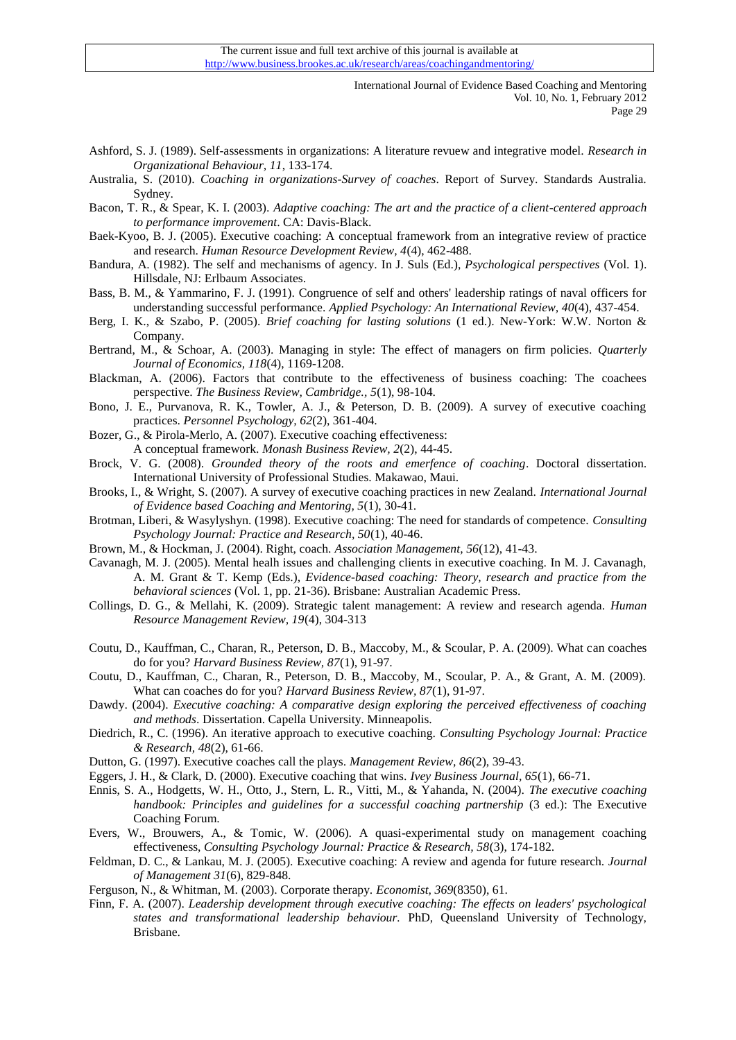- <span id="page-15-5"></span>Ashford, S. J. (1989). Self-assessments in organizations: A literature revuew and integrative model. *Research in Organizational Behaviour, 11*, 133-174.
- <span id="page-15-24"></span>Australia, S. (2010). *Coaching in organizations-Survey of coaches*. Report of Survey. Standards Australia. Sydney.
- <span id="page-15-11"></span>Bacon, T. R., & Spear, K. I. (2003). *Adaptive coaching: The art and the practice of a client-centered approach to performance improvement*. CA: Davis-Black.
- <span id="page-15-23"></span>Baek-Kyoo, B. J. (2005). Executive coaching: A conceptual framework from an integrative review of practice and research. *Human Resource Development Review, 4*(4), 462-488.
- <span id="page-15-6"></span>Bandura, A. (1982). The self and mechanisms of agency. In J. Suls (Ed.), *Psychological perspectives* (Vol. 1). Hillsdale, NJ: Erlbaum Associates.
- <span id="page-15-7"></span>Bass, B. M., & Yammarino, F. J. (1991). Congruence of self and others' leadership ratings of naval officers for understanding successful performance. *Applied Psychology: An International Review, 40*(4), 437-454.
- <span id="page-15-18"></span>Berg, I. K., & Szabo, P. (2005). *Brief coaching for lasting solutions* (1 ed.). New-York: W.W. Norton & Company.
- <span id="page-15-9"></span>Bertrand, M., & Schoar, A. (2003). Managing in style: The effect of managers on firm policies. *Quarterly Journal of Economics, 118*(4), 1169-1208.
- <span id="page-15-8"></span>Blackman, A. (2006). Factors that contribute to the effectiveness of business coaching: The coachees perspective. *The Business Review, Cambridge., 5*(1), 98-104.
- <span id="page-15-0"></span>Bono, J. E., Purvanova, R. K., Towler, A. J., & Peterson, D. B. (2009). A survey of executive coaching practices. *Personnel Psychology, 62*(2), 361-404.
- <span id="page-15-1"></span>Bozer, G., & Pirola-Merlo, A. (2007). Executive coaching effectiveness:
- A conceptual framework. *Monash Business Review, 2*(2), 44-45.
- <span id="page-15-16"></span>Brock, V. G. (2008). *Grounded theory of the roots and emerfence of coaching*. Doctoral dissertation. International University of Professional Studies. Makawao, Maui.
- <span id="page-15-25"></span>Brooks, I., & Wright, S. (2007). A survey of executive coaching practices in new Zealand. *International Journal of Evidence based Coaching and Mentoring, 5*(1), 30-41.
- <span id="page-15-12"></span>Brotman, Liberi, & Wasylyshyn. (1998). Executive coaching: The need for standards of competence. *Consulting Psychology Journal: Practice and Research, 50*(1), 40-46.
- <span id="page-15-27"></span>Brown, M., & Hockman, J. (2004). Right, coach. *Association Management, 56*(12), 41-43.
- <span id="page-15-17"></span>Cavanagh, M. J. (2005). Mental healh issues and challenging clients in executive coaching. In M. J. Cavanagh, A. M. Grant & T. Kemp (Eds.), *Evidence-based coaching: Theory, research and practice from the behavioral sciences* (Vol. 1, pp. 21-36). Brisbane: Australian Academic Press.
- <span id="page-15-10"></span>Collings, D. G., & Mellahi, K. (2009). Strategic talent management: A review and research agenda. *Human Resource Management Review, 19*(4), 304-313
- <span id="page-15-14"></span>Coutu, D., Kauffman, C., Charan, R., Peterson, D. B., Maccoby, M., & Scoular, P. A. (2009). What can coaches do for you? *Harvard Business Review, 87*(1), 91-97.
- <span id="page-15-19"></span>Coutu, D., Kauffman, C., Charan, R., Peterson, D. B., Maccoby, M., Scoular, P. A., & Grant, A. M. (2009). What can coaches do for you? *Harvard Business Review, 87*(1), 91-97.
- <span id="page-15-26"></span>Dawdy. (2004). *Executive coaching: A comparative design exploring the perceived effectiveness of coaching and methods*. Dissertation. Capella University. Minneapolis.
- <span id="page-15-15"></span>Diedrich, R., C. (1996). An iterative approach to executive coaching. *Consulting Psychology Journal: Practice & Research, 48*(2), 61-66.
- <span id="page-15-2"></span>Dutton, G. (1997). Executive coaches call the plays. *Management Review, 86*(2), 39-43.
- <span id="page-15-21"></span>Eggers, J. H., & Clark, D. (2000). Executive coaching that wins. *Ivey Business Journal, 65*(1), 66-71.
- <span id="page-15-13"></span>Ennis, S. A., Hodgetts, W. H., Otto, J., Stern, L. R., Vitti, M., & Yahanda, N. (2004). *The executive coaching handbook: Principles and guidelines for a successful coaching partnership* (3 ed.): The Executive Coaching Forum.
- <span id="page-15-20"></span>Evers, W., Brouwers, A., & Tomic, W. (2006). A quasi-experimental study on management coaching effectiveness, *Consulting Psychology Journal: Practice & Research, 58*(3), 174-182.
- <span id="page-15-3"></span>Feldman, D. C., & Lankau, M. J. (2005). Executive coaching: A review and agenda for future research. *Journal of Management 31*(6), 829-848.
- <span id="page-15-4"></span>Ferguson, N., & Whitman, M. (2003). Corporate therapy. *Economist, 369*(8350), 61.
- <span id="page-15-22"></span>Finn, F. A. (2007). *Leadership development through executive coaching: The effects on leaders' psychological states and transformational leadership behaviour.* PhD, Queensland University of Technology, Brisbane.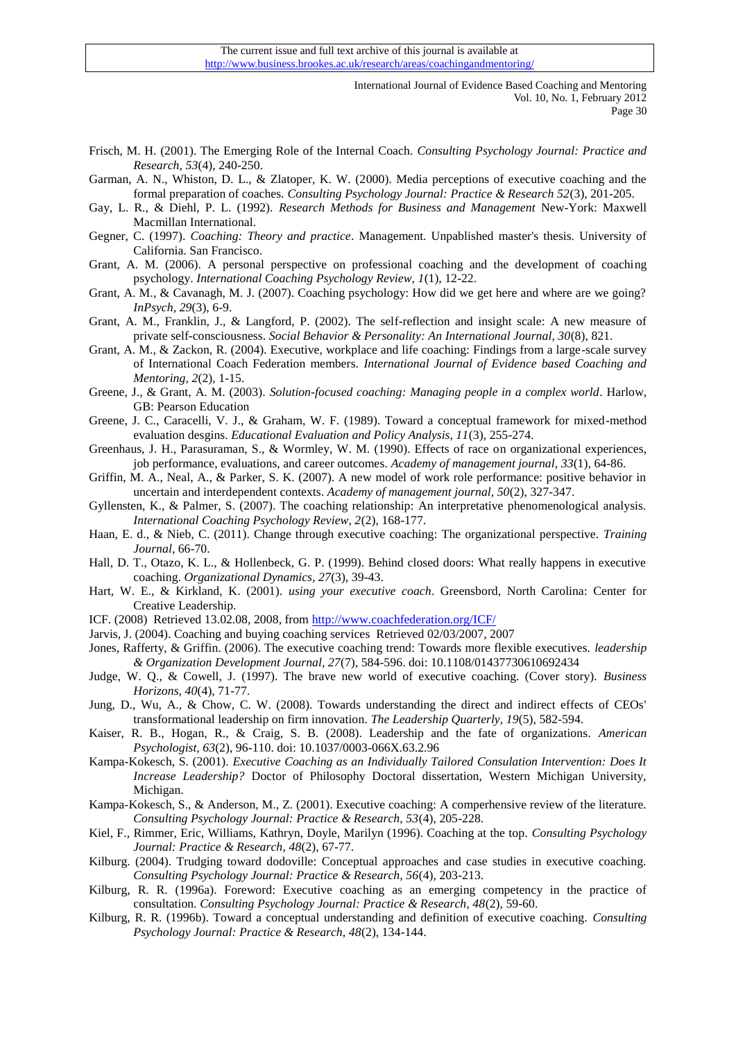- <span id="page-16-22"></span>Frisch, M. H. (2001). The Emerging Role of the Internal Coach. *Consulting Psychology Journal: Practice and Research, 53*(4), 240-250.
- <span id="page-16-14"></span>Garman, A. N., Whiston, D. L., & Zlatoper, K. W. (2000). Media perceptions of executive coaching and the formal preparation of coaches. *Consulting Psychology Journal: Practice & Research 52*(3), 201-205.
- <span id="page-16-19"></span>Gay, L. R., & Diehl, P. L. (1992). *Research Methods for Business and Management* New-York: Maxwell Macmillan International.
- <span id="page-16-15"></span>Gegner, C. (1997). *Coaching: Theory and practice*. Management. Unpablished master's thesis. University of California. San Francisco.
- <span id="page-16-12"></span>Grant, A. M. (2006). A personal perspective on professional coaching and the development of coaching psychology. *International Coaching Psychology Review, 1*(1), 12-22.
- <span id="page-16-24"></span>Grant, A. M., & Cavanagh, M. J. (2007). Coaching psychology: How did we get here and where are we going? *InPsych, 29*(3), 6-9.
- <span id="page-16-21"></span>Grant, A. M., Franklin, J., & Langford, P. (2002). The self-reflection and insight scale: A new measure of private self-consciousness. *Social Behavior & Personality: An International Journal, 30*(8), 821.
- <span id="page-16-25"></span>Grant, A. M., & Zackon, R. (2004). Executive, workplace and life coaching: Findings from a large-scale survey of International Coach Federation members. *International Journal of Evidence based Coaching and Mentoring, 2*(2), 1-15.
- <span id="page-16-10"></span>Greene, J., & Grant, A. M. (2003). *Solution-focused coaching: Managing people in a complex world*. Harlow, GB: Pearson Education
- <span id="page-16-27"></span>Greene, J. C., Caracelli, V. J., & Graham, W. F. (1989). Toward a conceptual framework for mixed-method evaluation desgins. *Educational Evaluation and Policy Analysis, 11*(3), 255-274.
- <span id="page-16-23"></span>Greenhaus, J. H., Parasuraman, S., & Wormley, W. M. (1990). Effects of race on organizational experiences, job performance, evaluations, and career outcomes. *Academy of management journal, 33*(1), 64-86.
- <span id="page-16-20"></span>Griffin, M. A., Neal, A., & Parker, S. K. (2007). A new model of work role performance: positive behavior in uncertain and interdependent contexts. *Academy of management journal, 50*(2), 327-347.
- <span id="page-16-2"></span>Gyllensten, K., & Palmer, S. (2007). The coaching relationship: An interpretative phenomenological analysis. *International Coaching Psychology Review, 2*(2), 168-177.
- <span id="page-16-26"></span>Haan, E. d., & Nieb, C. (2011). Change through executive coaching: The organizational perspective. *Training Journal*, 66-70.
- <span id="page-16-6"></span>Hall, D. T., Otazo, K. L., & Hollenbeck, G. P. (1999). Behind closed doors: What really happens in executive coaching. *Organizational Dynamics, 27*(3), 39-43.
- <span id="page-16-13"></span>Hart, W. E., & Kirkland, K. (2001). *using your executive coach*. Greensbord, North Carolina: Center for Creative Leadership.
- <span id="page-16-1"></span>ICF. (2008) Retrieved 13.02.08, 2008, from<http://www.coachfederation.org/ICF/>
- <span id="page-16-18"></span>Jarvis, J. (2004). Coaching and buying coaching services Retrieved 02/03/2007, 2007
- <span id="page-16-0"></span>Jones, Rafferty, & Griffin. (2006). The executive coaching trend: Towards more flexible executives. *leadership & Organization Development Journal, 27*(7), 584-596. doi: 10.1108/01437730610692434
- <span id="page-16-16"></span>Judge, W. Q., & Cowell, J. (1997). The brave new world of executive coaching. (Cover story). *Business Horizons, 40*(4), 71-77.
- <span id="page-16-4"></span>Jung, D., Wu, A., & Chow, C. W. (2008). Towards understanding the direct and indirect effects of CEOs' transformational leadership on firm innovation. *The Leadership Quarterly, 19*(5), 582-594.
- <span id="page-16-5"></span>Kaiser, R. B., Hogan, R., & Craig, S. B. (2008). Leadership and the fate of organizations. *American Psychologist, 63*(2), 96-110. doi: 10.1037/0003-066X.63.2.96
- <span id="page-16-17"></span>Kampa-Kokesch, S. (2001). *Executive Coaching as an Individually Tailored Consulation Intervention: Does It Increase Leadership?* Doctor of Philosophy Doctoral dissertation, Western Michigan University, Michigan.
- <span id="page-16-3"></span>Kampa-Kokesch, S., & Anderson, M., Z. (2001). Executive coaching: A comperhensive review of the literature. *Consulting Psychology Journal: Practice & Research, 53*(4), 205-228.
- <span id="page-16-9"></span>Kiel, F., Rimmer, Eric, Williams, Kathryn, Doyle, Marilyn (1996). Coaching at the top. *Consulting Psychology Journal: Practice & Research, 48*(2), 67-77.
- <span id="page-16-11"></span>Kilburg. (2004). Trudging toward dodoville: Conceptual approaches and case studies in executive coaching. *Consulting Psychology Journal: Practice & Research, 56*(4), 203-213.
- <span id="page-16-7"></span>Kilburg, R. R. (1996a). Foreword: Executive coaching as an emerging competency in the practice of consultation. *Consulting Psychology Journal: Practice & Research, 48*(2), 59-60.
- <span id="page-16-8"></span>Kilburg, R. R. (1996b). Toward a conceptual understanding and definition of executive coaching. *Consulting Psychology Journal: Practice & Research, 48*(2), 134-144.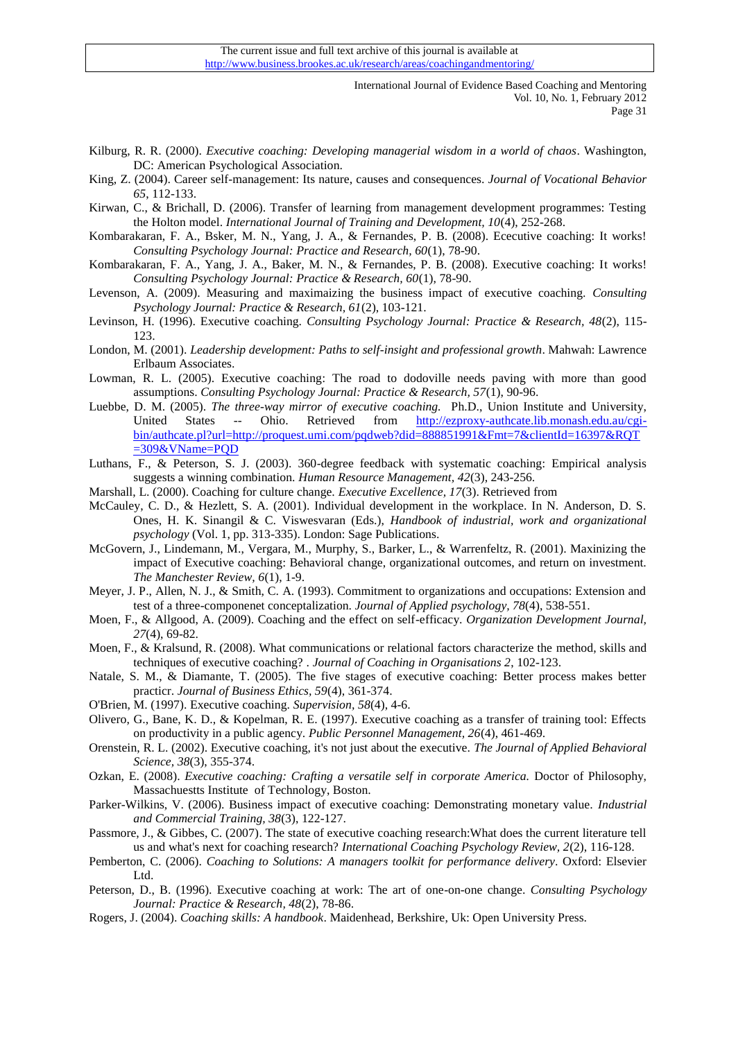- <span id="page-17-16"></span>Kilburg, R. R. (2000). *Executive coaching: Developing managerial wisdom in a world of chaos*. Washington, DC: American Psychological Association.
- <span id="page-17-10"></span>King, Z. (2004). Career self-management: Its nature, causes and consequences. *Journal of Vocational Behavior 65*, 112-133.
- <span id="page-17-9"></span>Kirwan, C., & Brichall, D. (2006). Transfer of learning from management development programmes: Testing the Holton model. *International Journal of Training and Development, 10*(4), 252-268.
- <span id="page-17-6"></span>Kombarakaran, F. A., Bsker, M. N., Yang, J. A., & Fernandes, P. B. (2008). Ececutive coaching: It works! *Consulting Psychology Journal: Practice and Research, 60*(1), 78-90.
- <span id="page-17-0"></span>Kombarakaran, F. A., Yang, J. A., Baker, M. N., & Fernandes, P. B. (2008). Executive coaching: It works! *Consulting Psychology Journal: Practice & Research, 60*(1), 78-90.
- <span id="page-17-1"></span>Levenson, A. (2009). Measuring and maximaizing the business impact of executive coaching. *Consulting Psychology Journal: Practice & Research, 61*(2), 103-121.
- <span id="page-17-18"></span>Levinson, H. (1996). Executive coaching. *Consulting Psychology Journal: Practice & Research, 48*(2), 115- 123.
- <span id="page-17-20"></span>London, M. (2001). *Leadership development: Paths to self-insight and professional growth*. Mahwah: Lawrence Erlbaum Associates.
- <span id="page-17-7"></span>Lowman, R. L. (2005). Executive coaching: The road to dodoville needs paving with more than good assumptions. *Consulting Psychology Journal: Practice & Research, 57*(1), 90-96.
- <span id="page-17-2"></span>Luebbe, D. M. (2005). *The three-way mirror of executive coaching.* Ph.D., Union Institute and University, United States -- Ohio. Retrieved from [http://ezproxy-authcate.lib.monash.edu.au/cgi](http://ezproxy-authcate.lib.monash.edu.au/cgi-bin/authcate.pl?url=http://proquest.umi.com/pqdweb?did=888851991&Fmt=7&clientId=16397&RQT=309&VName=PQD)[bin/authcate.pl?url=http://proquest.umi.com/pqdweb?did=888851991&Fmt=7&clientId=16397&RQT](http://ezproxy-authcate.lib.monash.edu.au/cgi-bin/authcate.pl?url=http://proquest.umi.com/pqdweb?did=888851991&Fmt=7&clientId=16397&RQT=309&VName=PQD) [=309&VName=PQD](http://ezproxy-authcate.lib.monash.edu.au/cgi-bin/authcate.pl?url=http://proquest.umi.com/pqdweb?did=888851991&Fmt=7&clientId=16397&RQT=309&VName=PQD)
- <span id="page-17-23"></span>Luthans, F., & Peterson, S. J. (2003). 360-degree feedback with systematic coaching: Empirical analysis suggests a winning combination. *Human Resource Management, 42*(3), 243-256.
- <span id="page-17-26"></span>Marshall, L. (2000). Coaching for culture change. *Executive Excellence, 17*(3). Retrieved from
- <span id="page-17-13"></span>McCauley, C. D., & Hezlett, S. A. (2001). Individual development in the workplace. In N. Anderson, D. S. Ones, H. K. Sinangil & C. Viswesvaran (Eds.), *Handbook of industrial, work and organizational psychology* (Vol. 1, pp. 313-335). London: Sage Publications.
- <span id="page-17-21"></span>McGovern, J., Lindemann, M., Vergara, M., Murphy, S., Barker, L., & Warrenfeltz, R. (2001). Maxinizing the impact of Executive coaching: Behavioral change, organizational outcomes, and return on investment. *The Manchester Review, 6*(1), 1-9.
- <span id="page-17-25"></span>Meyer, J. P., Allen, N. J., & Smith, C. A. (1993). Commitment to organizations and occupations: Extension and test of a three-componenet conceptalization. *Journal of Applied psychology, 78*(4), 538-551.
- <span id="page-17-11"></span>Moen, F., & Allgood, A. (2009). Coaching and the effect on self-efficacy. *Organization Development Journal, 27*(4), 69-82.
- <span id="page-17-5"></span>Moen, F., & Kralsund, R. (2008). What communications or relational factors characterize the method, skills and techniques of executive coaching? . *Journal of Coaching in Organisations 2*, 102-123.
- <span id="page-17-8"></span>Natale, S. M., & Diamante, T. (2005). The five stages of executive coaching: Better process makes better practicr. *Journal of Business Ethics, 59*(4), 361-374.
- <span id="page-17-17"></span>O'Brien, M. (1997). Executive coaching. *Supervision, 58*(4), 4-6.
- <span id="page-17-22"></span>Olivero, G., Bane, K. D., & Kopelman, R. E. (1997). Executive coaching as a transfer of training tool: Effects on productivity in a public agency. *Public Personnel Management, 26*(4), 461-469.
- <span id="page-17-14"></span>Orenstein, R. L. (2002). Executive coaching, it's not just about the executive. *The Journal of Applied Behavioral Science, 38*(3), 355-374.
- <span id="page-17-4"></span>Ozkan, E. (2008). *Executive coaching: Crafting a versatile self in corporate America.* Doctor of Philosophy, Massachuestts Institute of Technology, Boston.
- <span id="page-17-24"></span>Parker-Wilkins, V. (2006). Business impact of executive coaching: Demonstrating monetary value. *Industrial and Commercial Training, 38*(3), 122-127.
- <span id="page-17-3"></span>Passmore, J., & Gibbes, C. (2007). The state of executive coaching research:What does the current literature tell us and what's next for coaching research? *International Coaching Psychology Review, 2*(2), 116-128.
- <span id="page-17-15"></span>Pemberton, C. (2006). *Coaching to Solutions: A managers toolkit for performance delivery*. Oxford: Elsevier Ltd.
- <span id="page-17-12"></span>Peterson, D., B. (1996). Executive coaching at work: The art of one-on-one change. *Consulting Psychology Journal: Practice & Research, 48*(2), 78-86.
- <span id="page-17-19"></span>Rogers, J. (2004). *Coaching skills: A handbook*. Maidenhead, Berkshire, Uk: Open University Press.